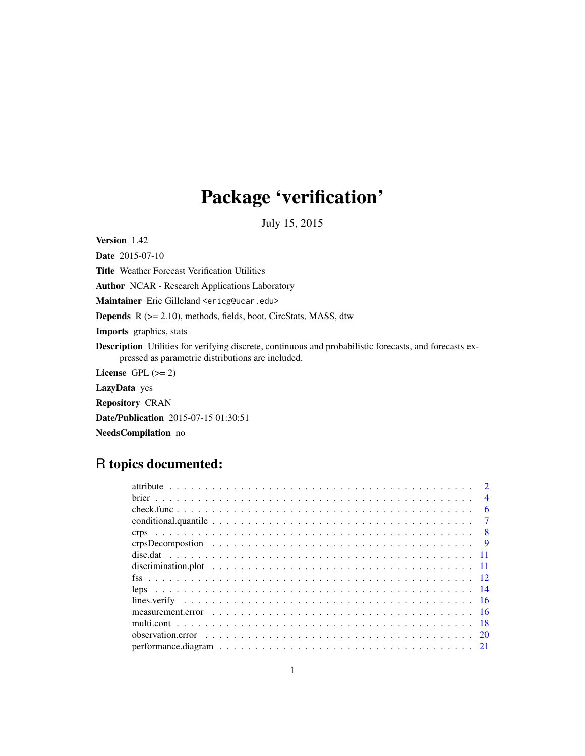# Package 'verification'

July 15, 2015

<span id="page-0-0"></span>Version 1.42

Date 2015-07-10 Title Weather Forecast Verification Utilities Author NCAR - Research Applications Laboratory Maintainer Eric Gilleland <ericg@ucar.edu> Depends R (>= 2.10), methods, fields, boot, CircStats, MASS, dtw Imports graphics, stats Description Utilities for verifying discrete, continuous and probabilistic forecasts, and forecasts expressed as parametric distributions are included. License GPL  $(>= 2)$ LazyData yes

Repository CRAN

Date/Publication 2015-07-15 01:30:51

NeedsCompilation no

## R topics documented:

|                                                                                                                   |  |  |  |  |  |  |  |  |  |  |  |  |  |  |  |  | $\mathcal{D}$  |
|-------------------------------------------------------------------------------------------------------------------|--|--|--|--|--|--|--|--|--|--|--|--|--|--|--|--|----------------|
|                                                                                                                   |  |  |  |  |  |  |  |  |  |  |  |  |  |  |  |  | $\overline{4}$ |
|                                                                                                                   |  |  |  |  |  |  |  |  |  |  |  |  |  |  |  |  | 6              |
| conditional quantile $\ldots \ldots \ldots \ldots \ldots \ldots \ldots \ldots \ldots \ldots \ldots \ldots \ldots$ |  |  |  |  |  |  |  |  |  |  |  |  |  |  |  |  | $\overline{7}$ |
|                                                                                                                   |  |  |  |  |  |  |  |  |  |  |  |  |  |  |  |  |                |
|                                                                                                                   |  |  |  |  |  |  |  |  |  |  |  |  |  |  |  |  | $\overline{9}$ |
|                                                                                                                   |  |  |  |  |  |  |  |  |  |  |  |  |  |  |  |  |                |
|                                                                                                                   |  |  |  |  |  |  |  |  |  |  |  |  |  |  |  |  |                |
|                                                                                                                   |  |  |  |  |  |  |  |  |  |  |  |  |  |  |  |  |                |
|                                                                                                                   |  |  |  |  |  |  |  |  |  |  |  |  |  |  |  |  |                |
|                                                                                                                   |  |  |  |  |  |  |  |  |  |  |  |  |  |  |  |  |                |
|                                                                                                                   |  |  |  |  |  |  |  |  |  |  |  |  |  |  |  |  |                |
|                                                                                                                   |  |  |  |  |  |  |  |  |  |  |  |  |  |  |  |  |                |
|                                                                                                                   |  |  |  |  |  |  |  |  |  |  |  |  |  |  |  |  |                |
|                                                                                                                   |  |  |  |  |  |  |  |  |  |  |  |  |  |  |  |  |                |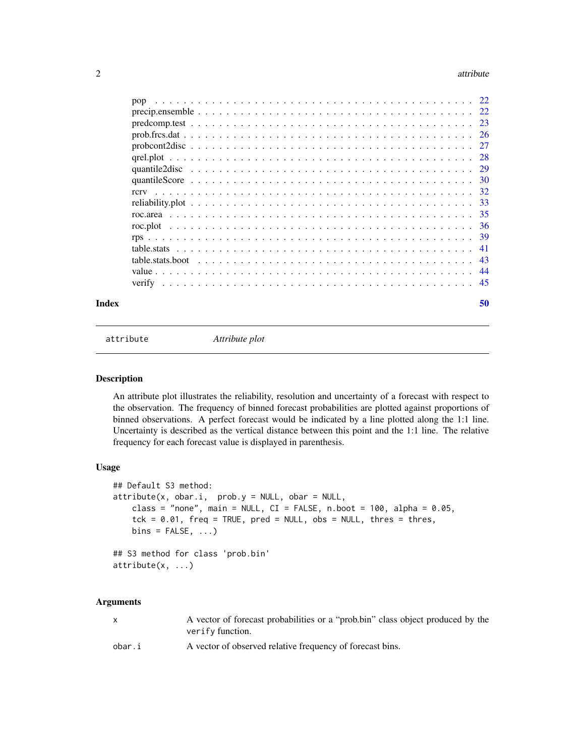#### <span id="page-1-0"></span> $2 \times 2$

| Index | 50 |
|-------|----|

attribute *Attribute plot*

#### Description

An attribute plot illustrates the reliability, resolution and uncertainty of a forecast with respect to the observation. The frequency of binned forecast probabilities are plotted against proportions of binned observations. A perfect forecast would be indicated by a line plotted along the 1:1 line. Uncertainty is described as the vertical distance between this point and the 1:1 line. The relative frequency for each forecast value is displayed in parenthesis.

## Usage

```
## Default S3 method:
attribute(x, obar.i, prob.y = NULL, obar = NULL,class = "none", main = NULL, CI = FALSE, n.boot = 100, alpha = 0.05,
   tck = 0.01, freq = TRUE, pred = NULL, obs = NULL, thres = thres,
   bins = FALSE, ...)## S3 method for class 'prob.bin'
attribute(x, ...)
```
#### Arguments

| X      | A vector of forecast probabilities or a "prob.bin" class object produced by the<br>verify function. |
|--------|-----------------------------------------------------------------------------------------------------|
| obar.i | A vector of observed relative frequency of forecast bins.                                           |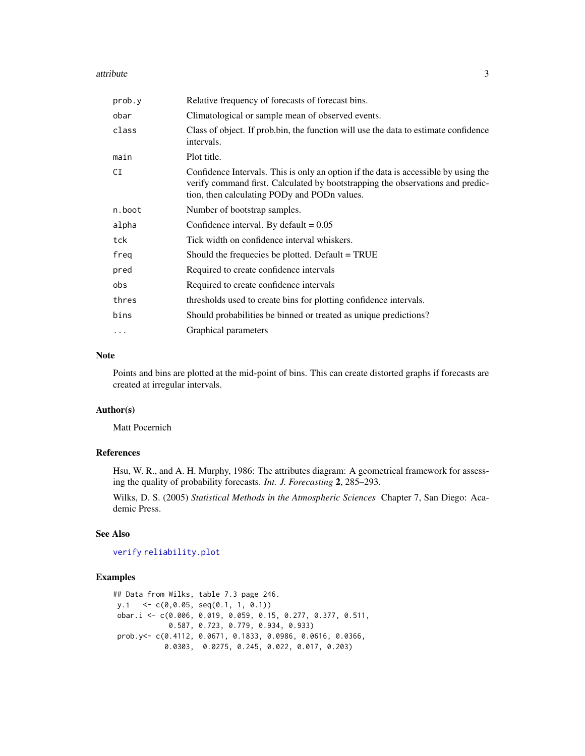#### <span id="page-2-0"></span>attribute 3

| prob.y    | Relative frequency of forecasts of forecast bins.                                                                                                                                                                     |
|-----------|-----------------------------------------------------------------------------------------------------------------------------------------------------------------------------------------------------------------------|
| obar      | Climatological or sample mean of observed events.                                                                                                                                                                     |
| class     | Class of object. If prob.bin, the function will use the data to estimate confidence<br>intervals.                                                                                                                     |
| main      | Plot title.                                                                                                                                                                                                           |
| CI        | Confidence Intervals. This is only an option if the data is accessible by using the<br>verify command first. Calculated by bootstrapping the observations and predic-<br>tion, then calculating PODy and PODn values. |
| n.boot    | Number of bootstrap samples.                                                                                                                                                                                          |
| alpha     | Confidence interval. By default $= 0.05$                                                                                                                                                                              |
| tck       | Tick width on confidence interval whiskers.                                                                                                                                                                           |
| freg      | Should the frequecies be plotted. Default = TRUE                                                                                                                                                                      |
| pred      | Required to create confidence intervals                                                                                                                                                                               |
| obs       | Required to create confidence intervals                                                                                                                                                                               |
| thres     | thresholds used to create bins for plotting confidence intervals.                                                                                                                                                     |
| bins      | Should probabilities be binned or treated as unique predictions?                                                                                                                                                      |
| $\ddotsc$ | Graphical parameters                                                                                                                                                                                                  |

#### Note

Points and bins are plotted at the mid-point of bins. This can create distorted graphs if forecasts are created at irregular intervals.

## Author(s)

Matt Pocernich

### References

Hsu, W. R., and A. H. Murphy, 1986: The attributes diagram: A geometrical framework for assessing the quality of probability forecasts. *Int. J. Forecasting* 2, 285–293.

Wilks, D. S. (2005) *Statistical Methods in the Atmospheric Sciences* Chapter 7, San Diego: Academic Press.

#### See Also

[verify](#page-44-1) [reliability.plot](#page-32-1)

```
## Data from Wilks, table 7.3 page 246.
y.i <- c(0,0.05, seq(0.1, 1, 0.1))
obar.i <- c(0.006, 0.019, 0.059, 0.15, 0.277, 0.377, 0.511,
            0.587, 0.723, 0.779, 0.934, 0.933)
prob.y<- c(0.4112, 0.0671, 0.1833, 0.0986, 0.0616, 0.0366,
           0.0303, 0.0275, 0.245, 0.022, 0.017, 0.203)
```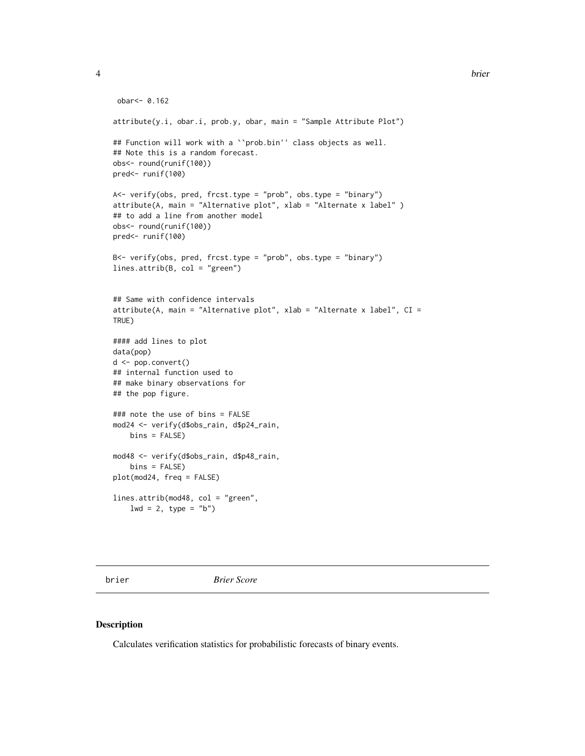```
obar<- 0.162
attribute(y.i, obar.i, prob.y, obar, main = "Sample Attribute Plot")
## Function will work with a ``prob.bin'' class objects as well.
## Note this is a random forecast.
obs<- round(runif(100))
pred<- runif(100)
A<- verify(obs, pred, frcst.type = "prob", obs.type = "binary")
attribute(A, main = "Alternative plot", xlab = "Alternate x label" )
## to add a line from another model
obs<- round(runif(100))
pred<- runif(100)
B<- verify(obs, pred, frcst.type = "prob", obs.type = "binary")
lines.attrib(B, col = "green")
## Same with confidence intervals
attribute(A, main = "Alternative plot", xlab = "Alternate x label", CI =
TRUE)
#### add lines to plot
data(pop)
d <- pop.convert()
## internal function used to
## make binary observations for
## the pop figure.
### note the use of bins = FALSE
mod24 <- verify(d$obs_rain, d$p24_rain,
   bins = FALSE)
mod48 <- verify(d$obs_rain, d$p48_rain,
   bins = FALSE)
plot(mod24, freq = FALSE)
lines.attrib(mod48, col = "green",
   1wd = 2, type = "b")
```
brier *Brier Score*

#### Description

Calculates verification statistics for probabilistic forecasts of binary events.

<span id="page-3-0"></span>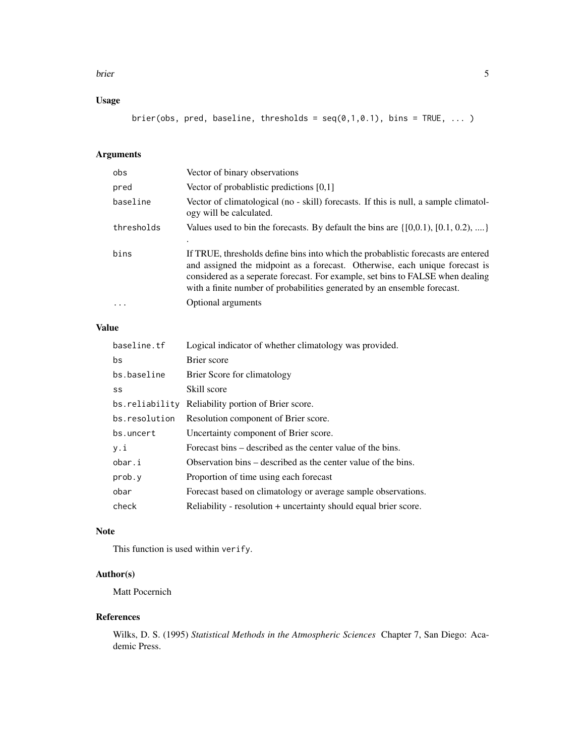#### brier 50 and 50 km s to 10 km s to 10 km s to 10 km s to 10 km s to 10 km s to 10 km s to 10 km s to 10 km s t

## Usage

brier(obs, pred, baseline, thresholds =  $seq(0,1,0.1)$ , bins = TRUE, ... )

## Arguments

| obs        | Vector of binary observations                                                                                                                                                                                                                                                                                                   |
|------------|---------------------------------------------------------------------------------------------------------------------------------------------------------------------------------------------------------------------------------------------------------------------------------------------------------------------------------|
| pred       | Vector of probablistic predictions [0,1]                                                                                                                                                                                                                                                                                        |
| baseline   | Vector of climatological (no - skill) forecasts. If this is null, a sample climatol-<br>ogy will be calculated.                                                                                                                                                                                                                 |
| thresholds | Values used to bin the forecasts. By default the bins are $\{[0,0.1), [0.1, 0.2),  \}$                                                                                                                                                                                                                                          |
| bins       | If TRUE, thresholds define bins into which the probabilistic forecasts are entered<br>and assigned the midpoint as a forecast. Otherwise, each unique forecast is<br>considered as a seperate forecast. For example, set bins to FALSE when dealing<br>with a finite number of probabilities generated by an ensemble forecast. |
| $\ddotsc$  | Optional arguments                                                                                                                                                                                                                                                                                                              |

## Value

| baseline.tf    | Logical indicator of whether climatology was provided.           |
|----------------|------------------------------------------------------------------|
| bs             | Brier score                                                      |
| bs.baseline    | Brier Score for climatology                                      |
| SS             | Skill score                                                      |
| bs.reliability | Reliability portion of Brier score.                              |
| bs.resolution  | Resolution component of Brier score.                             |
| bs.uncert      | Uncertainty component of Brier score.                            |
| y.i            | Forecast bins – described as the center value of the bins.       |
| obar.i         | Observation bins – described as the center value of the bins.    |
| prob.y         | Proportion of time using each forecast                           |
| obar           | Forecast based on climatology or average sample observations.    |
| check          | Reliability - resolution + uncertainty should equal brier score. |

## Note

This function is used within verify.

## Author(s)

Matt Pocernich

## References

Wilks, D. S. (1995) *Statistical Methods in the Atmospheric Sciences* Chapter 7, San Diego: Academic Press.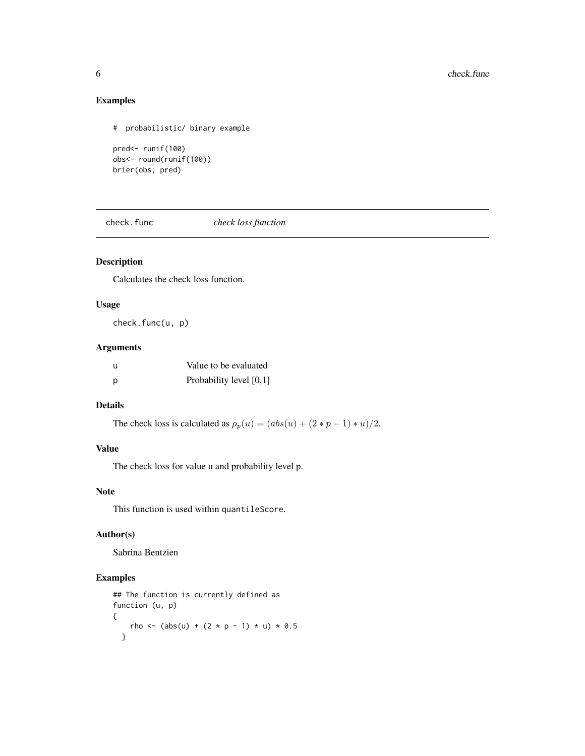## Examples

```
# probabilistic/ binary example
pred<- runif(100)
obs<- round(runif(100))
brier(obs, pred)
```
<span id="page-5-1"></span>check.func *check loss function*

## Description

Calculates the check loss function.

## Usage

check.func(u, p)

## Arguments

| u | Value to be evaluated   |
|---|-------------------------|
| p | Probability level [0,1] |

## Details

The check loss is calculated as  $\rho_p(u) = (abs(u) + (2*p-1)*u)/2$ .

## Value

The check loss for value u and probability level p.

## Note

This function is used within quantileScore.

#### Author(s)

Sabrina Bentzien

```
## The function is currently defined as
function (u, p)
{
   rho <- (abs(u) + (2 * p - 1) * u) * 0.5
  }
```
<span id="page-5-0"></span>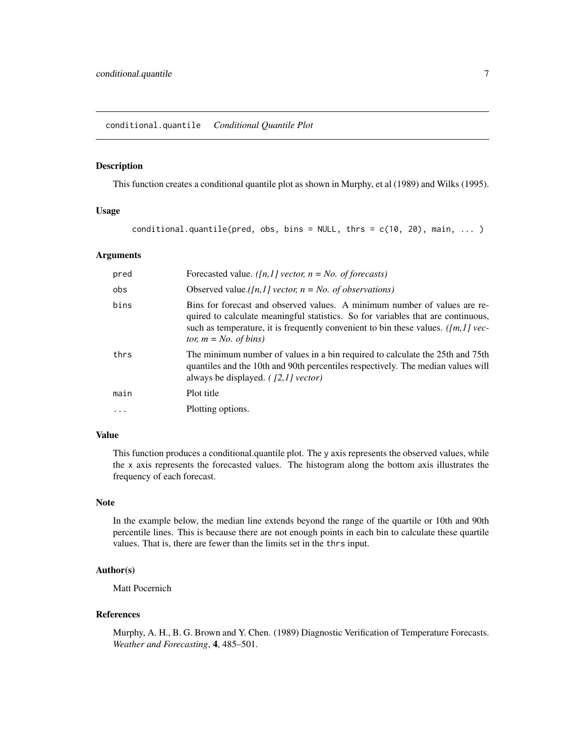#### <span id="page-6-0"></span>Description

This function creates a conditional quantile plot as shown in Murphy, et al (1989) and Wilks (1995).

#### Usage

conditional.quantile(pred, obs, bins = NULL, thrs =  $c(10, 20)$ , main, ... )

#### Arguments

| pred     | Forecasted value. ([n,1] vector, $n = No$ . of forecasts)                                                                                                                                                                                                                          |
|----------|------------------------------------------------------------------------------------------------------------------------------------------------------------------------------------------------------------------------------------------------------------------------------------|
| obs      | Observed value.([n,1] vector, $n = No$ . of observations)                                                                                                                                                                                                                          |
| bins     | Bins for forecast and observed values. A minimum number of values are re-<br>quired to calculate meaningful statistics. So for variables that are continuous,<br>such as temperature, it is frequently convenient to bin these values. ( $[m, 1]$ vec-<br>tor, $m = No$ . of bins) |
| thrs     | The minimum number of values in a bin required to calculate the 25th and 75th<br>quantiles and the 10th and 90th percentiles respectively. The median values will<br>always be displayed. $(12,1)$ vector)                                                                         |
| main     | Plot title                                                                                                                                                                                                                                                                         |
| $\cdots$ | Plotting options.                                                                                                                                                                                                                                                                  |

#### Value

This function produces a conditional.quantile plot. The y axis represents the observed values, while the x axis represents the forecasted values. The histogram along the bottom axis illustrates the frequency of each forecast.

## Note

In the example below, the median line extends beyond the range of the quartile or 10th and 90th percentile lines. This is because there are not enough points in each bin to calculate these quartile values. That is, there are fewer than the limits set in the thrs input.

## Author(s)

Matt Pocernich

## References

Murphy, A. H., B. G. Brown and Y. Chen. (1989) Diagnostic Verification of Temperature Forecasts. *Weather and Forecasting*, 4, 485–501.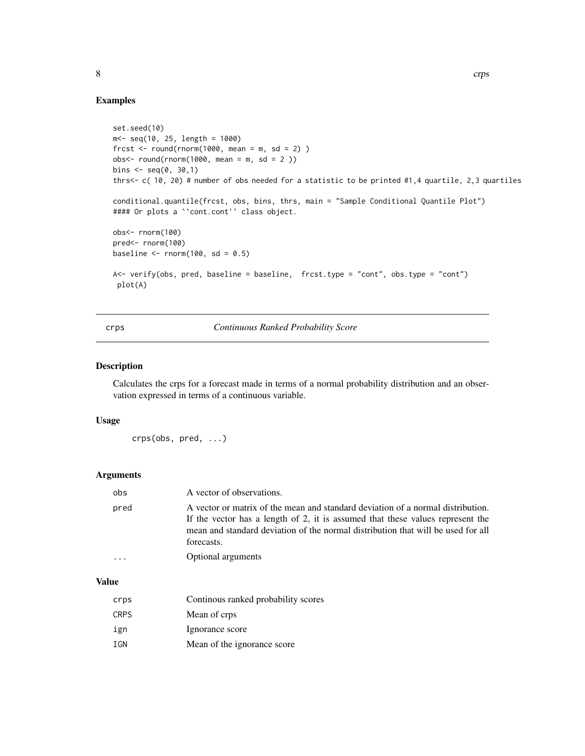```
set.seed(10)
m < - seq(10, 25, length = 1000)
frcst \le round(rnorm(1000, mean = m, sd = 2))
obs < - round(rnorm(1000, mean = m, sd = 2))
bins \leq seq(0, 30,1)
thrs<- c( 10, 20) # number of obs needed for a statistic to be printed #1,4 quartile, 2,3 quartiles
conditional.quantile(frcst, obs, bins, thrs, main = "Sample Conditional Quantile Plot")
#### Or plots a ``cont.cont'' class object.
obs<- rnorm(100)
pred<- rnorm(100)
baseline \le rnorm(100, sd = 0.5)
A<- verify(obs, pred, baseline = baseline, frcst.type = "cont", obs.type = "cont")
 plot(A)
```
<span id="page-7-1"></span>crps *Continuous Ranked Probability Score*

#### Description

Calculates the crps for a forecast made in terms of a normal probability distribution and an observation expressed in terms of a continuous variable.

#### Usage

```
crps(obs, pred, ...)
```
#### Arguments

| obs  | A vector of observations.                                                                                                                                                                                                                                           |
|------|---------------------------------------------------------------------------------------------------------------------------------------------------------------------------------------------------------------------------------------------------------------------|
| pred | A vector or matrix of the mean and standard deviation of a normal distribution.<br>If the vector has a length of 2, it is assumed that these values represent the<br>mean and standard deviation of the normal distribution that will be used for all<br>forecasts. |
|      | Optional arguments                                                                                                                                                                                                                                                  |

#### Value

| crps        | Continous ranked probability scores |
|-------------|-------------------------------------|
| <b>CRPS</b> | Mean of crps                        |
| ign         | Ignorance score                     |
| <b>TGN</b>  | Mean of the ignorance score         |

<span id="page-7-0"></span>8 crps and the contract of the contract of the critical critical contract of the critical critical critical critical critical critical critical critical critical critical critical critical critical critical critical critic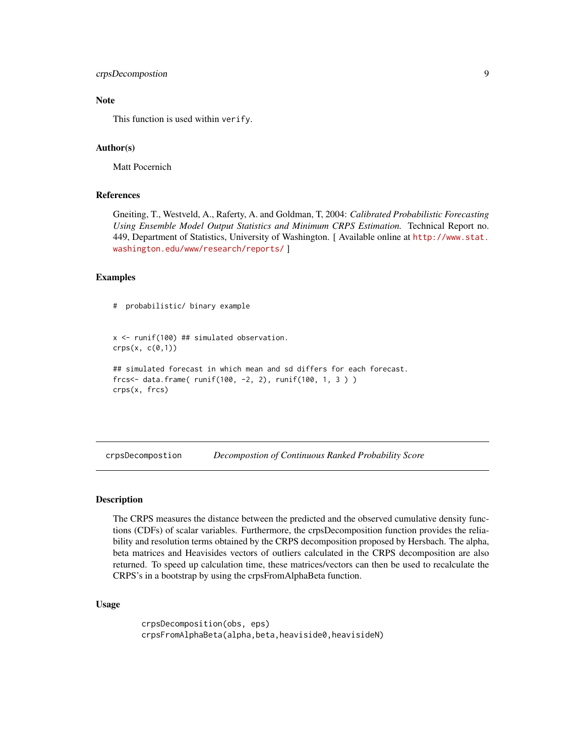## <span id="page-8-0"></span>crpsDecompostion 9

## Note

This function is used within verify.

#### Author(s)

Matt Pocernich

## References

Gneiting, T., Westveld, A., Raferty, A. and Goldman, T, 2004: *Calibrated Probabilistic Forecasting Using Ensemble Model Output Statistics and Minimum CRPS Estimation.* Technical Report no. 449, Department of Statistics, University of Washington. [ Available online at [http://www.stat.](http://www.stat.washington.edu/www/research/reports/) [washington.edu/www/research/reports/](http://www.stat.washington.edu/www/research/reports/) ]

## Examples

```
# probabilistic/ binary example
```

```
x \le runif(100) ## simulated observation.
crys(x, c(\emptyset, 1))
```

```
## simulated forecast in which mean and sd differs for each forecast.
frcs<- data.frame( runif(100, -2, 2), runif(100, 1, 3 ) )
crps(x, frcs)
```
crpsDecompostion *Decompostion of Continuous Ranked Probability Score*

#### Description

The CRPS measures the distance between the predicted and the observed cumulative density functions (CDFs) of scalar variables. Furthermore, the crpsDecomposition function provides the reliability and resolution terms obtained by the CRPS decomposition proposed by Hersbach. The alpha, beta matrices and Heavisides vectors of outliers calculated in the CRPS decomposition are also returned. To speed up calculation time, these matrices/vectors can then be used to recalculate the CRPS's in a bootstrap by using the crpsFromAlphaBeta function.

#### Usage

```
crpsDecomposition(obs, eps)
crpsFromAlphaBeta(alpha,beta,heaviside0,heavisideN)
```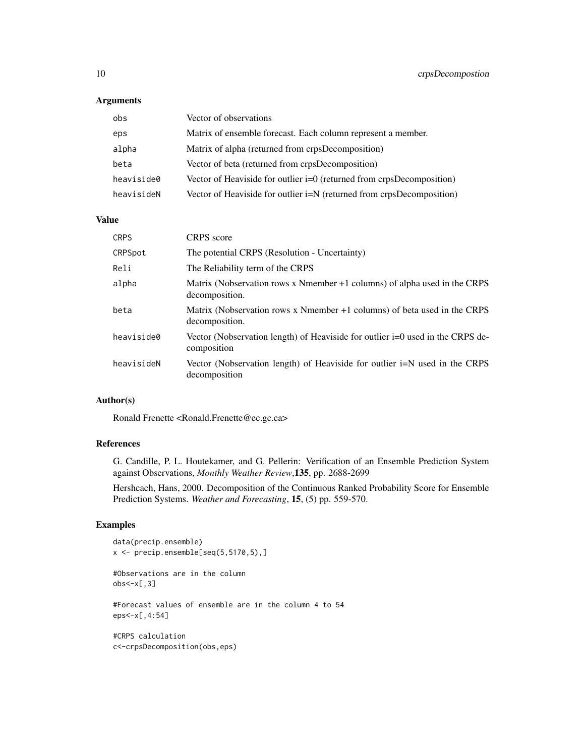## Arguments

| obs        | Vector of observations                                                  |
|------------|-------------------------------------------------------------------------|
| eps        | Matrix of ensemble forecast. Each column represent a member.            |
| alpha      | Matrix of alpha (returned from crpsDecomposition)                       |
| beta       | Vector of beta (returned from crpsDecomposition)                        |
| heaviside0 | Vector of Heaviside for outlier $i=0$ (returned from crpsDecomposition) |
| heavisideN | Vector of Heaviside for outlier i=N (returned from crpsDecomposition)   |

#### Value

| <b>CRPS</b> | <b>CRPS</b> score                                                                             |
|-------------|-----------------------------------------------------------------------------------------------|
| CRPSpot     | The potential CRPS (Resolution - Uncertainty)                                                 |
| Reli        | The Reliability term of the CRPS                                                              |
| alpha       | Matrix (Nobservation rows x Nmember +1 columns) of alpha used in the CRPS<br>decomposition.   |
| beta        | Matrix (Nobservation rows x Nmember +1 columns) of beta used in the CRPS<br>decomposition.    |
| heaviside0  | Vector (Nobservation length) of Heaviside for outlier i=0 used in the CRPS de-<br>composition |
| heavisideN  | Vector (Nobservation length) of Heaviside for outlier i=N used in the CRPS<br>decomposition   |

## Author(s)

Ronald Frenette <Ronald.Frenette@ec.gc.ca>

#### References

G. Candille, P. L. Houtekamer, and G. Pellerin: Verification of an Ensemble Prediction System against Observations, *Monthly Weather Review*,135, pp. 2688-2699

Hershcach, Hans, 2000. Decomposition of the Continuous Ranked Probability Score for Ensemble Prediction Systems. *Weather and Forecasting*, 15, (5) pp. 559-570.

```
data(precip.ensemble)
x <- precip.ensemble[seq(5,5170,5),]
#Observations are in the column
obs < -x[, 3]#Forecast values of ensemble are in the column 4 to 54
eps<-x[,4:54]
#CRPS calculation
c<-crpsDecomposition(obs,eps)
```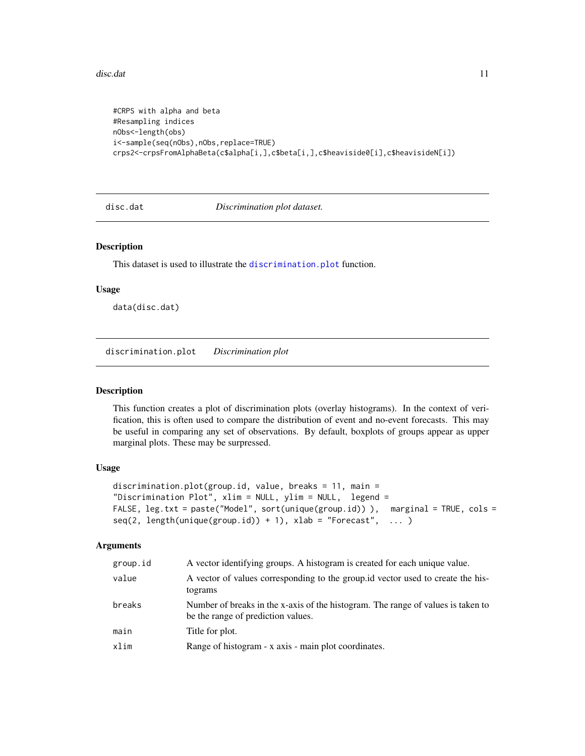#### <span id="page-10-0"></span>disc.dat 11

```
#CRPS with alpha and beta
#Resampling indices
nObs<-length(obs)
i<-sample(seq(nObs),nObs,replace=TRUE)
crps2<-crpsFromAlphaBeta(c$alpha[i,],c$beta[i,],c$heaviside0[i],c$heavisideN[i])
```
disc.dat *Discrimination plot dataset.*

## Description

This dataset is used to illustrate the [discrimination.plot](#page-10-1) function.

#### Usage

data(disc.dat)

<span id="page-10-1"></span>discrimination.plot *Discrimination plot*

#### Description

This function creates a plot of discrimination plots (overlay histograms). In the context of verification, this is often used to compare the distribution of event and no-event forecasts. This may be useful in comparing any set of observations. By default, boxplots of groups appear as upper marginal plots. These may be surpressed.

#### Usage

```
discrimination.plot(group.id, value, breaks = 11, main =
"Discrimination Plot", xlim = NULL, ylim = NULL, legend =
FALSE, leg.txt = paste("Model", sort(unique(group.id))), marginal = TRUE, cols =
seq(2, length(unique(group.id)) + 1), xlab = "Forecast", ... )
```
#### Arguments

| group.id | A vector identifying groups. A histogram is created for each unique value.                                             |
|----------|------------------------------------------------------------------------------------------------------------------------|
| value    | A vector of values corresponding to the group id vector used to create the his-<br>tograms                             |
| breaks   | Number of breaks in the x-axis of the histogram. The range of values is taken to<br>be the range of prediction values. |
| main     | Title for plot.                                                                                                        |
| xlim     | Range of histogram - x axis - main plot coordinates.                                                                   |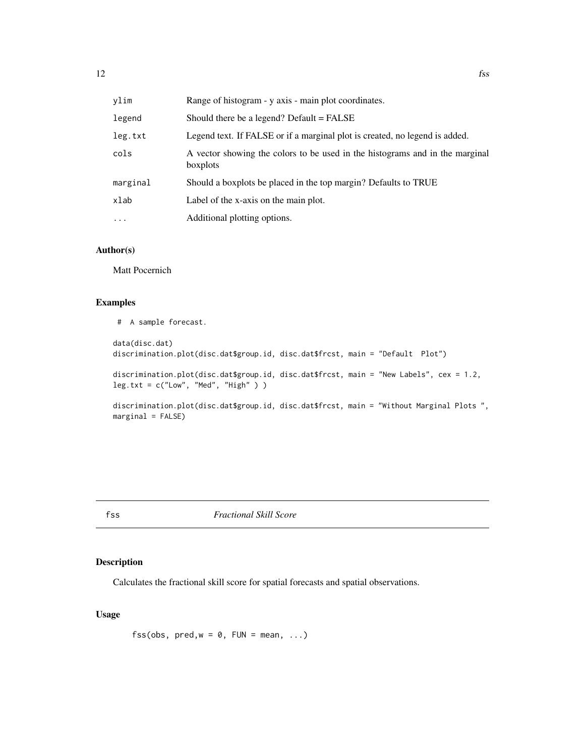<span id="page-11-0"></span>

| vlim     | Range of histogram - y axis - main plot coordinates.                                     |
|----------|------------------------------------------------------------------------------------------|
| legend   | Should there be a legend? Default = FALSE                                                |
| leg.txt  | Legend text. If FALSE or if a marginal plot is created, no legend is added.              |
| cols     | A vector showing the colors to be used in the histograms and in the marginal<br>boxplots |
| marginal | Should a boxplots be placed in the top margin? Defaults to TRUE                          |
| xlab     | Label of the x-axis on the main plot.                                                    |
| .        | Additional plotting options.                                                             |

## Author(s)

Matt Pocernich

#### Examples

# A sample forecast.

data(disc.dat) discrimination.plot(disc.dat\$group.id, disc.dat\$frcst, main = "Default Plot")

discrimination.plot(disc.dat\$group.id, disc.dat\$frcst, main = "New Labels", cex = 1.2, leg.txt = c("Low", "Med", "High" ) )

discrimination.plot(disc.dat\$group.id, disc.dat\$frcst, main = "Without Marginal Plots ",  $marginal = FALSE)$ 

fss *Fractional Skill Score*

## Description

Calculates the fractional skill score for spatial forecasts and spatial observations.

## Usage

fss(obs,  $pred, w = 0$ ,  $FUN = mean, ...$ )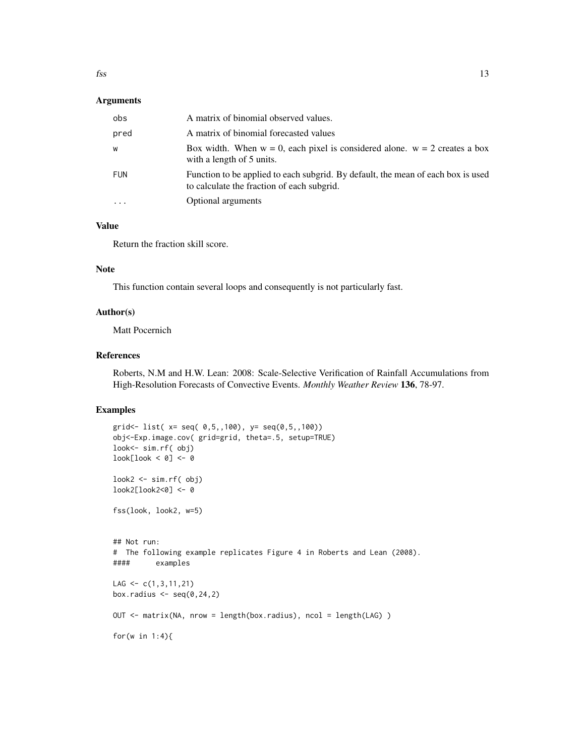#### Arguments

| obs        | A matrix of binomial observed values.                                                                                          |
|------------|--------------------------------------------------------------------------------------------------------------------------------|
| pred       | A matrix of binomial forecasted values                                                                                         |
| W          | Box width. When $w = 0$ , each pixel is considered alone. $w = 2$ creates a box<br>with a length of 5 units.                   |
| <b>FUN</b> | Function to be applied to each subgrid. By default, the mean of each box is used<br>to calculate the fraction of each subgrid. |
|            | Optional arguments                                                                                                             |

## Value

Return the fraction skill score.

## Note

This function contain several loops and consequently is not particularly fast.

#### Author(s)

Matt Pocernich

#### References

Roberts, N.M and H.W. Lean: 2008: Scale-Selective Verification of Rainfall Accumulations from High-Resolution Forecasts of Convective Events. *Monthly Weather Review* 136, 78-97.

```
grid<- list( x= seq( 0,5,,100), y= seq(0,5,,100))
obj<-Exp.image.cov( grid=grid, theta=.5, setup=TRUE)
look<- sim.rf( obj)
look[look < 0] <- 0
look2 <- sim.rf( obj)
look2[look2<0] <- 0
fss(look, look2, w=5)
## Not run:
# The following example replicates Figure 4 in Roberts and Lean (2008).
#### examples
LAG \leq -c(1,3,11,21)box.radius \leq seq(0,24,2)
OUT <- matrix(NA, nrow = length(box.radius), ncol = length(LAG) )
for(w in 1:4){
```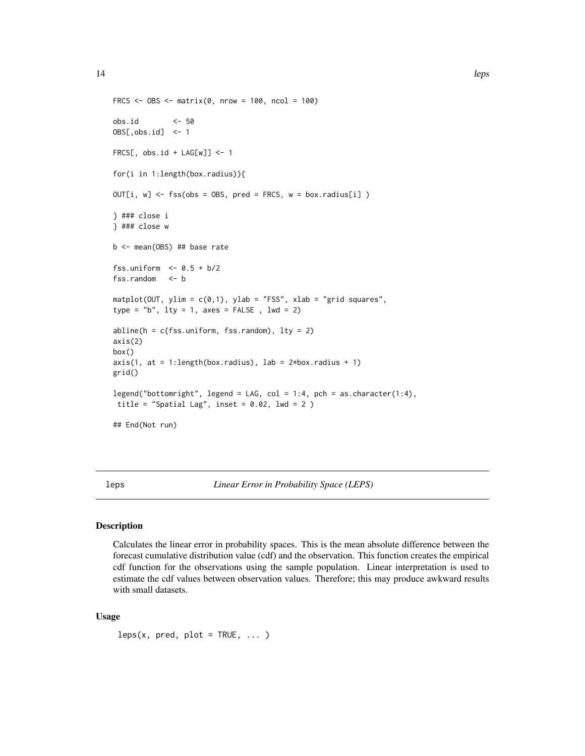```
FRCS <- OBS <- matrix(0, nrow = 100, ncol = 100)
obs.id <- 50
OBS[,obs.id] <- 1
FRCS[, obs.id + LAG[w]] <- 1
for(i in 1:length(box.radius)){
OUT[i, w] \leftarrow fs(obs = OBS, pred = FRCS, w = boxradius[i])} ### close i
} ### close w
b <- mean(OBS) ## base rate
fss.uniform <- 0.5 + b/2fss.random <- b
matplot(OUT, ylim = c(0,1), ylab = "FSS", xlab = "grid squares",
type = nb", lty = 1, axes = FALSE, lwd = 2)
abline(h = c(fss.uniform, fss.random), lty = 2)axis(2)
box()
axis(1, at = 1:length(box.radius), lab = 2*box.radius + 1)grid()
legend("bottomright", legend = LAG, col = 1:4, pch = as.character(1:4),
 title = "Spatial Lag", inset = 0.02, lwd = 2)
## End(Not run)
```
leps *Linear Error in Probability Space (LEPS)*

#### **Description**

Calculates the linear error in probability spaces. This is the mean absolute difference between the forecast cumulative distribution value (cdf) and the observation. This function creates the empirical cdf function for the observations using the sample population. Linear interpretation is used to estimate the cdf values between observation values. Therefore; this may produce awkward results with small datasets.

#### Usage

 $leps(x, pred, plot = TRUE, ...)$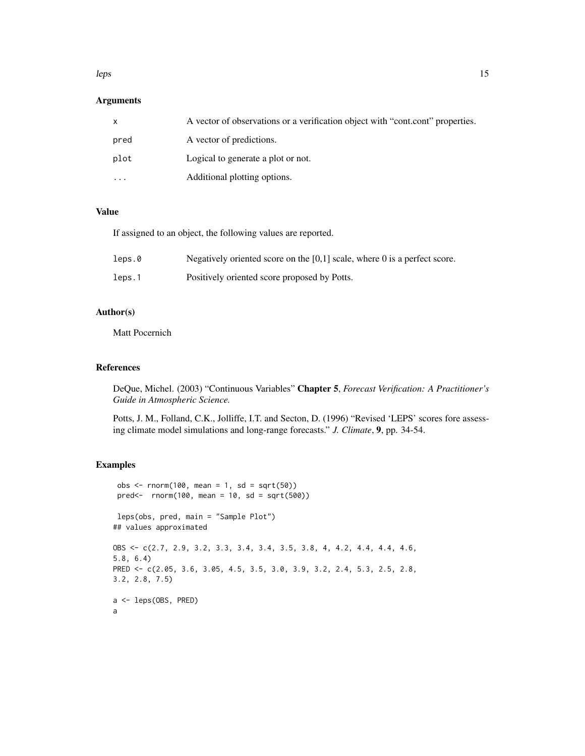#### $l$ eps 15

## Arguments

|           | A vector of observations or a verification object with "cont.cont" properties. |
|-----------|--------------------------------------------------------------------------------|
| pred      | A vector of predictions.                                                       |
| plot      | Logical to generate a plot or not.                                             |
| $\ddotsc$ | Additional plotting options.                                                   |

### Value

If assigned to an object, the following values are reported.

| leps.0 | Negatively oriented score on the $[0,1]$ scale, where 0 is a perfect score. |
|--------|-----------------------------------------------------------------------------|
| leps.1 | Positively oriented score proposed by Potts.                                |

## Author(s)

Matt Pocernich

## References

DeQue, Michel. (2003) "Continuous Variables" Chapter 5, *Forecast Verification: A Practitioner's Guide in Atmospheric Science.*

Potts, J. M., Folland, C.K., Jolliffe, I.T. and Secton, D. (1996) "Revised 'LEPS' scores fore assessing climate model simulations and long-range forecasts." *J. Climate*, 9, pp. 34-54.

```
obs <- rnorm(100, mean = 1, sd = sqrt(50))
 pred<- rnorm(100, mean = 10, sd = sqrt(500))
leps(obs, pred, main = "Sample Plot")
## values approximated
OBS <- c(2.7, 2.9, 3.2, 3.3, 3.4, 3.4, 3.5, 3.8, 4, 4.2, 4.4, 4.4, 4.6,
5.8, 6.4)
PRED <- c(2.05, 3.6, 3.05, 4.5, 3.5, 3.0, 3.9, 3.2, 2.4, 5.3, 2.5, 2.8,
3.2, 2.8, 7.5)
a <- leps(OBS, PRED)
a
```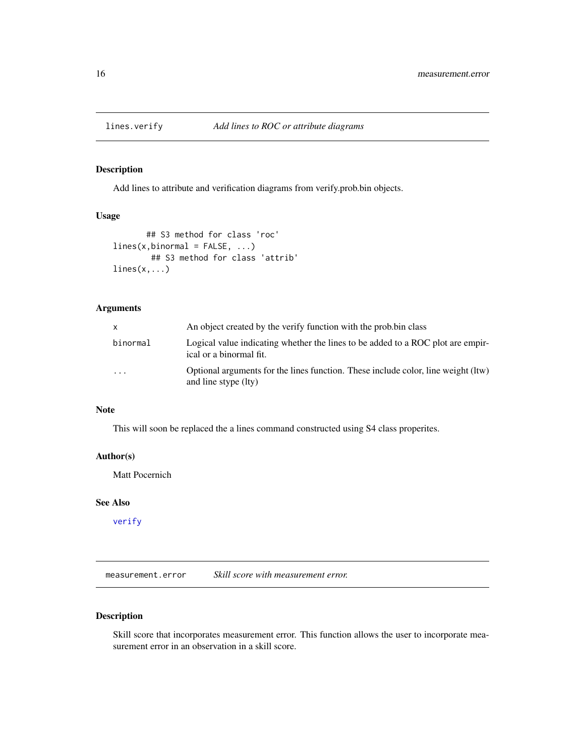<span id="page-15-0"></span>

## <span id="page-15-2"></span>Description

Add lines to attribute and verification diagrams from verify.prob.bin objects.

## Usage

```
## S3 method for class 'roc'
lines(x, binormal = FALSE, ...)## S3 method for class 'attrib'
lines(x, \ldots)
```
## Arguments

| X        | An object created by the verify function with the prob.bin class                                           |
|----------|------------------------------------------------------------------------------------------------------------|
| binormal | Logical value indicating whether the lines to be added to a ROC plot are empir-<br>ical or a binormal fit. |
| .        | Optional arguments for the lines function. These include color, line weight (ltw)<br>and line stype (lty)  |

## Note

This will soon be replaced the a lines command constructed using S4 class properites.

#### Author(s)

Matt Pocernich

## See Also

[verify](#page-44-1)

<span id="page-15-1"></span>measurement.error *Skill score with measurement error.*

## Description

Skill score that incorporates measurement error. This function allows the user to incorporate measurement error in an observation in a skill score.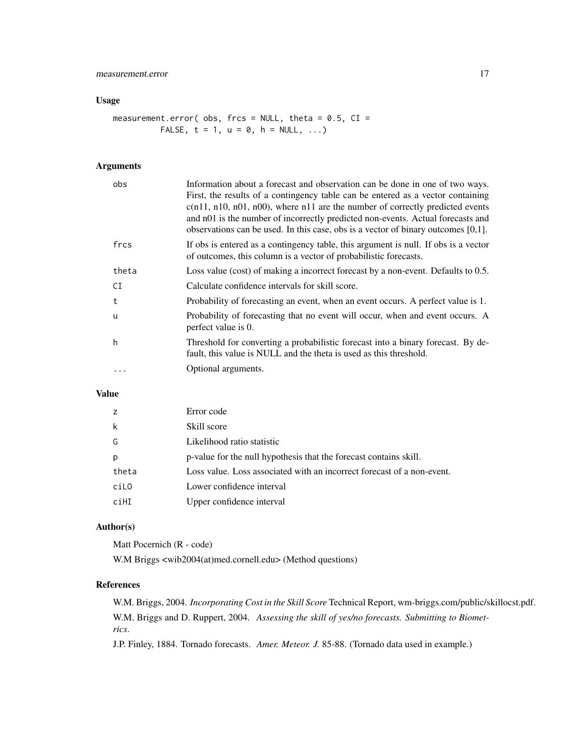## Usage

measurement.error( obs, frcs = NULL, theta =  $0.5$ , CI = FALSE,  $t = 1$ ,  $u = 0$ ,  $h = NULL$ , ...)

## Arguments

| obs      | Information about a forecast and observation can be done in one of two ways.<br>First, the results of a contingency table can be entered as a vector containing<br>$c(n11, n10, n01, n00)$ , where n11 are the number of correctly predicted events<br>and n01 is the number of incorrectly predicted non-events. Actual forecasts and<br>observations can be used. In this case, obs is a vector of binary outcomes $[0,1]$ . |
|----------|--------------------------------------------------------------------------------------------------------------------------------------------------------------------------------------------------------------------------------------------------------------------------------------------------------------------------------------------------------------------------------------------------------------------------------|
| frcs     | If obs is entered as a contingency table, this argument is null. If obs is a vector<br>of outcomes, this column is a vector of probabilistic forecasts.                                                                                                                                                                                                                                                                        |
| theta    | Loss value (cost) of making a incorrect forecast by a non-event. Defaults to 0.5.                                                                                                                                                                                                                                                                                                                                              |
| CI       | Calculate confidence intervals for skill score.                                                                                                                                                                                                                                                                                                                                                                                |
| t        | Probability of forecasting an event, when an event occurs. A perfect value is 1.                                                                                                                                                                                                                                                                                                                                               |
| <b>u</b> | Probability of forecasting that no event will occur, when and event occurs. A<br>perfect value is 0.                                                                                                                                                                                                                                                                                                                           |
| h        | Threshold for converting a probabilistic forecast into a binary forecast. By de-<br>fault, this value is NULL and the theta is used as this threshold.                                                                                                                                                                                                                                                                         |
|          | Optional arguments.                                                                                                                                                                                                                                                                                                                                                                                                            |

## Value

| Z     | Error code                                                             |
|-------|------------------------------------------------------------------------|
| k     | Skill score                                                            |
| G     | Likelihood ratio statistic                                             |
| p     | p-value for the null hypothesis that the forecast contains skill.      |
| theta | Loss value. Loss associated with an incorrect forecast of a non-event. |
| ciL0  | Lower confidence interval                                              |
| ciHI  | Upper confidence interval                                              |

## Author(s)

Matt Pocernich (R - code)

W.M Briggs <wib2004(at)med.cornell.edu> (Method questions)

## References

W.M. Briggs, 2004. *Incorporating Cost in the Skill Score* Technical Report, wm-briggs.com/public/skillocst.pdf. W.M. Briggs and D. Ruppert, 2004. *Assessing the skill of yes/no forecasts. Submitting to Biometrics*.

J.P. Finley, 1884. Tornado forecasts. *Amer. Meteor. J.* 85-88. (Tornado data used in example.)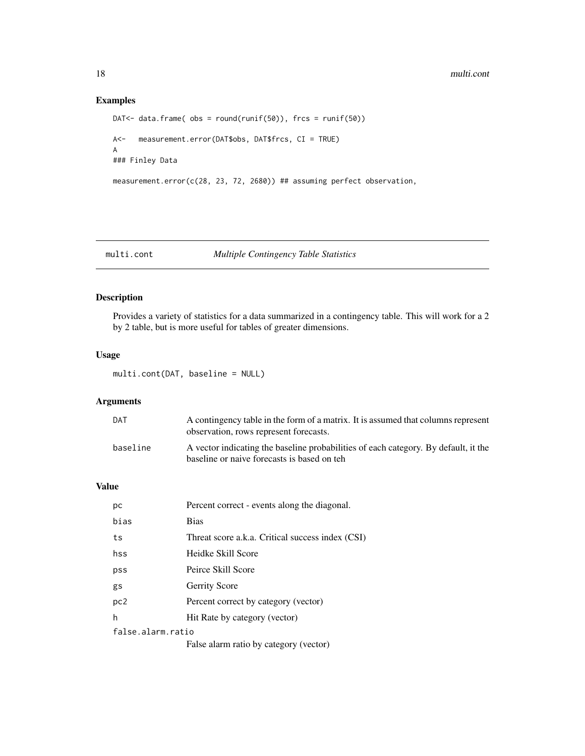## Examples

```
DAT<- data.frame( obs = round(runif(50)), frcs = runif(50))
A<- measurement.error(DAT$obs, DAT$frcs, CI = TRUE)
A
### Finley Data
measurement.error(c(28, 23, 72, 2680)) ## assuming perfect observation,
```
#### multi.cont *Multiple Contingency Table Statistics*

## Description

Provides a variety of statistics for a data summarized in a contingency table. This will work for a 2 by 2 table, but is more useful for tables of greater dimensions.

#### Usage

multi.cont(DAT, baseline = NULL)

## Arguments

| DAT      | A contingency table in the form of a matrix. It is assumed that columns represent<br>observation, rows represent forecasts.         |
|----------|-------------------------------------------------------------------------------------------------------------------------------------|
| baseline | A vector indicating the baseline probabilities of each category. By default, it the<br>baseline or naive forecasts is based on teh. |

#### Value

| рc                | Percent correct - events along the diagonal.     |
|-------------------|--------------------------------------------------|
| bias              | <b>Bias</b>                                      |
| ts                | Threat score a.k.a. Critical success index (CSI) |
| hss               | Heidke Skill Score                               |
| pss               | Peirce Skill Score                               |
| gs                | <b>Gerrity Score</b>                             |
| pc2               | Percent correct by category (vector)             |
| h                 | Hit Rate by category (vector)                    |
| false alarm ratio |                                                  |
|                   | False alarm ratio by category (vector)           |

<span id="page-17-0"></span>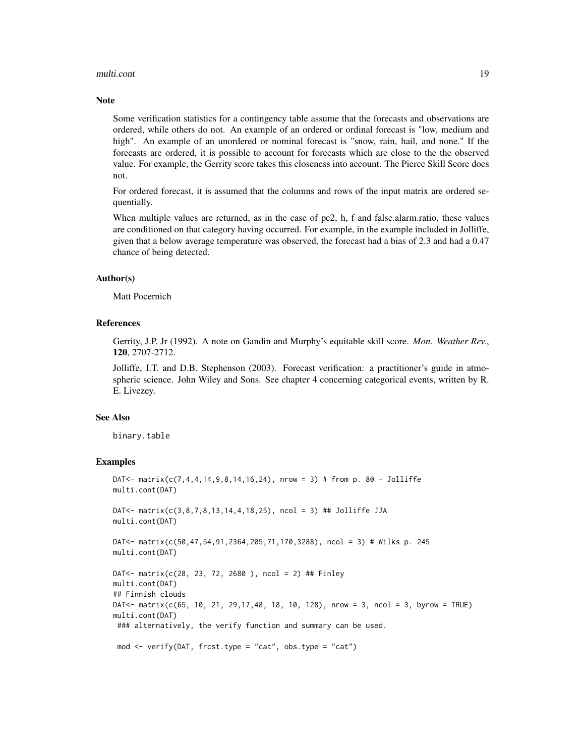#### multi.cont 19

#### **Note**

Some verification statistics for a contingency table assume that the forecasts and observations are ordered, while others do not. An example of an ordered or ordinal forecast is "low, medium and high". An example of an unordered or nominal forecast is "snow, rain, hail, and none." If the forecasts are ordered, it is possible to account for forecasts which are close to the the observed value. For example, the Gerrity score takes this closeness into account. The Pierce Skill Score does not.

For ordered forecast, it is assumed that the columns and rows of the input matrix are ordered sequentially.

When multiple values are returned, as in the case of pc2, h, f and false.alarm.ratio, these values are conditioned on that category having occurred. For example, in the example included in Jolliffe, given that a below average temperature was observed, the forecast had a bias of 2.3 and had a 0.47 chance of being detected.

#### Author(s)

Matt Pocernich

#### References

Gerrity, J.P. Jr (1992). A note on Gandin and Murphy's equitable skill score. *Mon. Weather Rev.*, 120, 2707-2712.

Jolliffe, I.T. and D.B. Stephenson (2003). Forecast verification: a practitioner's guide in atmospheric science. John Wiley and Sons. See chapter 4 concerning categorical events, written by R. E. Livezey.

#### See Also

binary.table

```
DAT<- matrix(c(7,4,4,14,9,8,14,16,24), nrow = 3) # from p. 80 - Jolliffe
multi.cont(DAT)
DAT<- matrix(c(3,8,7,8,13,14,4,18,25), ncol = 3) ## Jolliffe JJA
multi.cont(DAT)
DAT<- matrix(c(50,47,54,91,2364,205,71,170,3288), ncol = 3) # Wilks p. 245
multi.cont(DAT)
DAT<- matrix(c(28, 23, 72, 2680 ), ncol = 2) ## Finley
multi.cont(DAT)
## Finnish clouds
DAT<- matrix(c(65, 10, 21, 29,17,48, 18, 10, 128), nrow = 3, ncol = 3, byrow = TRUE)
multi.cont(DAT)
### alternatively, the verify function and summary can be used.
mod <- verify(DAT, frcst.type = "cat", obs.type = "cat")
```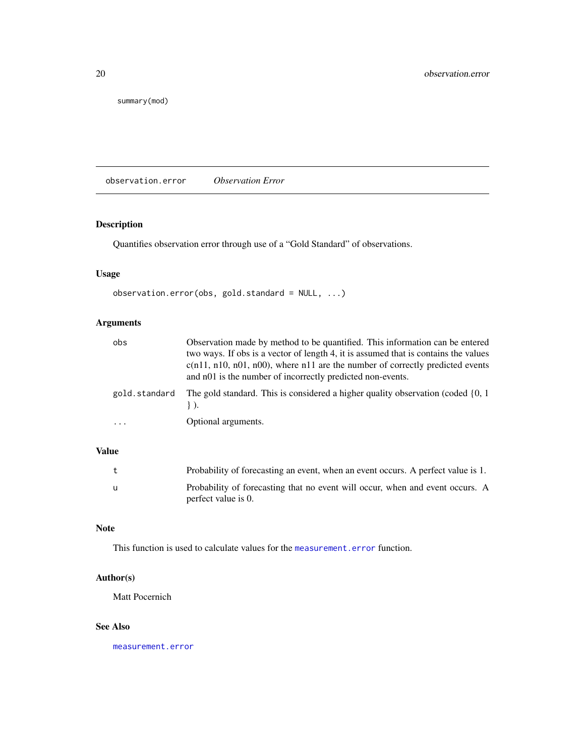<span id="page-19-0"></span>summary(mod)

observation.error *Observation Error*

## Description

Quantifies observation error through use of a "Gold Standard" of observations.

## Usage

```
observation.error(obs, gold.standard = NULL, ...)
```
## Arguments

| obs                     | Observation made by method to be quantified. This information can be entered<br>two ways. If obs is a vector of length 4, it is assumed that is contains the values<br>$c(n11, n10, n01, n00)$ , where n11 are the number of correctly predicted events<br>and n01 is the number of incorrectly predicted non-events. |
|-------------------------|-----------------------------------------------------------------------------------------------------------------------------------------------------------------------------------------------------------------------------------------------------------------------------------------------------------------------|
| gold.standard           | The gold standard. This is considered a higher quality observation (coded $\{0, 1\}$ )                                                                                                                                                                                                                                |
| $\cdot$ $\cdot$ $\cdot$ | Optional arguments.                                                                                                                                                                                                                                                                                                   |

## Value

|   | Probability of forecasting an event, when an event occurs. A perfect value is 1.                     |
|---|------------------------------------------------------------------------------------------------------|
| u | Probability of forecasting that no event will occur, when and event occurs. A<br>perfect value is 0. |

## Note

This function is used to calculate values for the [measurement.error](#page-15-1) function.

## Author(s)

Matt Pocernich

## See Also

[measurement.error](#page-15-1)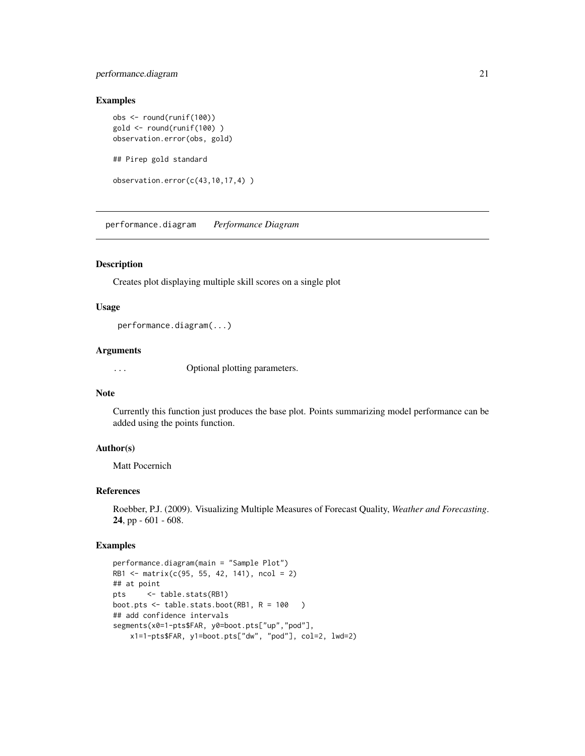## <span id="page-20-0"></span>performance.diagram 21

#### Examples

```
obs <- round(runif(100))
gold <- round(runif(100) )
observation.error(obs, gold)
## Pirep gold standard
observation.error(c(43,10,17,4) )
```
performance.diagram *Performance Diagram*

#### Description

Creates plot displaying multiple skill scores on a single plot

#### Usage

performance.diagram(...)

## Arguments

... Optional plotting parameters.

#### Note

Currently this function just produces the base plot. Points summarizing model performance can be added using the points function.

#### Author(s)

Matt Pocernich

#### References

Roebber, P.J. (2009). Visualizing Multiple Measures of Forecast Quality, *Weather and Forecasting*. 24, pp - 601 - 608.

```
performance.diagram(main = "Sample Plot")
RB1 <- matrix(c(95, 55, 42, 141), ncol = 2)
## at point
pts <- table.stats(RB1)
boot.pts \leq table.stats.boot(RB1, R = 100 )
## add confidence intervals
segments(x0=1-pts$FAR, y0=boot.pts["up","pod"],
   x1=1-pts$FAR, y1=boot.pts["dw", "pod"], col=2, lwd=2)
```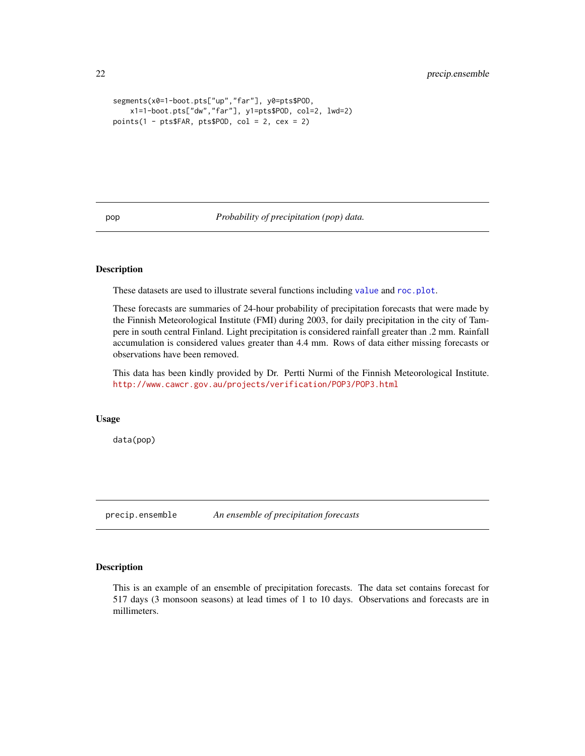```
segments(x0=1-boot.pts["up","far"], y0=pts$POD,
    x1=1-boot.pts["dw","far"], y1=pts$POD, col=2, lwd=2)
points(1 - pts$FAR, pts$POD, col = 2, cex = 2)
```
<span id="page-21-1"></span>pop *Probability of precipitation (pop) data.*

#### **Description**

These datasets are used to illustrate several functions including [value](#page-43-1) and [roc.plot](#page-35-1).

These forecasts are summaries of 24-hour probability of precipitation forecasts that were made by the Finnish Meteorological Institute (FMI) during 2003, for daily precipitation in the city of Tampere in south central Finland. Light precipitation is considered rainfall greater than .2 mm. Rainfall accumulation is considered values greater than 4.4 mm. Rows of data either missing forecasts or observations have been removed.

This data has been kindly provided by Dr. Pertti Nurmi of the Finnish Meteorological Institute. <http://www.cawcr.gov.au/projects/verification/POP3/POP3.html>

#### Usage

data(pop)

precip.ensemble *An ensemble of precipitation forecasts*

#### Description

This is an example of an ensemble of precipitation forecasts. The data set contains forecast for 517 days (3 monsoon seasons) at lead times of 1 to 10 days. Observations and forecasts are in millimeters.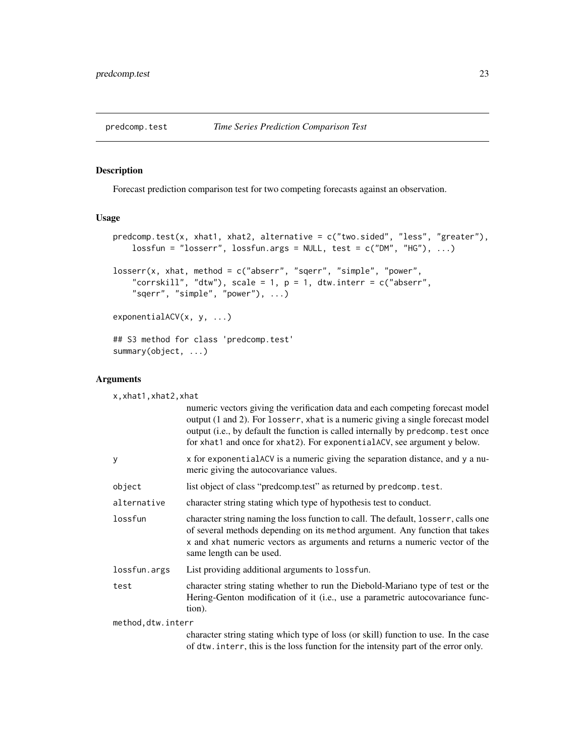<span id="page-22-0"></span>

#### Description

Forecast prediction comparison test for two competing forecasts against an observation.

#### Usage

```
predcomp.test(x, xhat1, xhat2, alternative = c("two.sided", "less", "greater"),
    lossfun = "losserr", lossfun.argv = NULL, test = c("DM", "HG"), ...)losserr(x, xhat, method = c("abserr", "sqerr", "simple", "power",
    "corrskill", "dtw"), scale = 1, p = 1, dtw.interr = c("abserr",
    "sqerr", "simple", "power"), ...)
exponentialACV(x, y, ...)
## S3 method for class 'predcomp.test'
summary(object, ...)
```
#### Arguments

| x, xhat1, xhat2, xhat |                                                                                                                                                                                                                                                                                                                                    |  |
|-----------------------|------------------------------------------------------------------------------------------------------------------------------------------------------------------------------------------------------------------------------------------------------------------------------------------------------------------------------------|--|
|                       | numeric vectors giving the verification data and each competing forecast model<br>output (1 and 2). For losserr, xhat is a numeric giving a single forecast model<br>output (i.e., by default the function is called internally by predcomp. test once<br>for xhat1 and once for xhat2). For exponentialACV, see argument y below. |  |
| y                     | x for exponentialACV is a numeric giving the separation distance, and y a nu-<br>meric giving the autocovariance values.                                                                                                                                                                                                           |  |
| object                | list object of class "predcomp.test" as returned by predcomp.test.                                                                                                                                                                                                                                                                 |  |
| alternative           | character string stating which type of hypothesis test to conduct.                                                                                                                                                                                                                                                                 |  |
| lossfun               | character string naming the loss function to call. The default, losserr, calls one<br>of several methods depending on its method argument. Any function that takes<br>x and xhat numeric vectors as arguments and returns a numeric vector of the<br>same length can be used.                                                      |  |
| lossfun.args          | List providing additional arguments to lossfun.                                                                                                                                                                                                                                                                                    |  |
| test                  | character string stating whether to run the Diebold-Mariano type of test or the<br>Hering-Genton modification of it (i.e., use a parametric autocovariance func-<br>tion).                                                                                                                                                         |  |
| method, dtw.interr    |                                                                                                                                                                                                                                                                                                                                    |  |
|                       | character string stating which type of loss (or skill) function to use. In the case<br>of dtw. interr, this is the loss function for the intensity part of the error only.                                                                                                                                                         |  |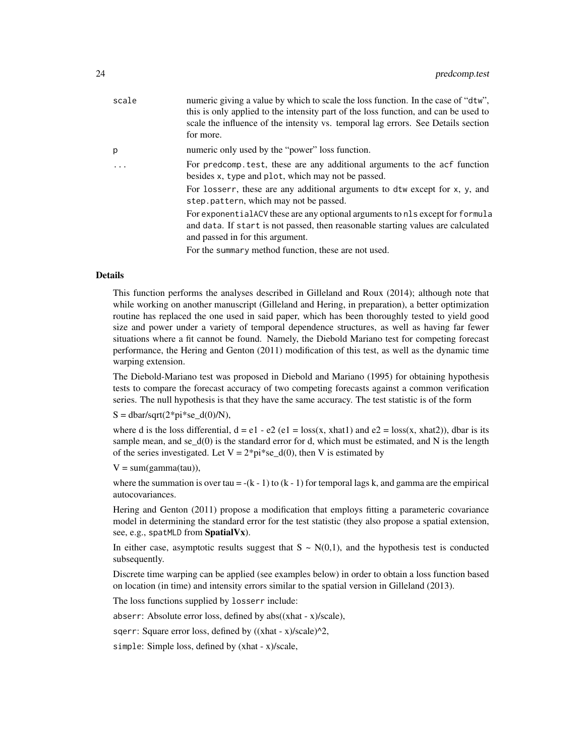| scale | numeric giving a value by which to scale the loss function. In the case of "dtw",<br>this is only applied to the intensity part of the loss function, and can be used to<br>scale the influence of the intensity vs. temporal lag errors. See Details section<br>for more. |
|-------|----------------------------------------------------------------------------------------------------------------------------------------------------------------------------------------------------------------------------------------------------------------------------|
| p     | numeric only used by the "power" loss function.                                                                                                                                                                                                                            |
|       | For predcomp test, these are any additional arguments to the acf function<br>besides x, type and plot, which may not be passed.                                                                                                                                            |
|       | For losserr, these are any additional arguments to dtw except for x, y, and<br>step.pattern, which may not be passed.                                                                                                                                                      |
|       | For exponential ACV these are any optional arguments to nls except for formula<br>and data. If start is not passed, then reasonable starting values are calculated<br>and passed in for this argument.                                                                     |
|       | For the summary method function, these are not used.                                                                                                                                                                                                                       |
|       |                                                                                                                                                                                                                                                                            |

#### Details

This function performs the analyses described in Gilleland and Roux (2014); although note that while working on another manuscript (Gilleland and Hering, in preparation), a better optimization routine has replaced the one used in said paper, which has been thoroughly tested to yield good size and power under a variety of temporal dependence structures, as well as having far fewer situations where a fit cannot be found. Namely, the Diebold Mariano test for competing forecast performance, the Hering and Genton (2011) modification of this test, as well as the dynamic time warping extension.

The Diebold-Mariano test was proposed in Diebold and Mariano (1995) for obtaining hypothesis tests to compare the forecast accuracy of two competing forecasts against a common verification series. The null hypothesis is that they have the same accuracy. The test statistic is of the form

 $S = \frac{dbar}{sqrt(2*pi*se_d(0)/N)}$ ,

where d is the loss differential,  $d = e1 - e2$  (e1 = loss(x, xhat1) and  $e2 = \text{loss}(x, \text{xhat2})$ ), dbar is its sample mean, and se $_d(0)$  is the standard error for d, which must be estimated, and N is the length of the series investigated. Let  $V = 2^*pi^*se_d(0)$ , then V is estimated by

```
V = sum(gamma(tau)),
```
where the summation is over tau = -(k - 1) to (k - 1) for temporal lags k, and gamma are the empirical autocovariances.

Hering and Genton (2011) propose a modification that employs fitting a parameteric covariance model in determining the standard error for the test statistic (they also propose a spatial extension, see, e.g., spatMLD from SpatialVx).

In either case, asymptotic results suggest that  $S \sim N(0,1)$ , and the hypothesis test is conducted subsequently.

Discrete time warping can be applied (see examples below) in order to obtain a loss function based on location (in time) and intensity errors similar to the spatial version in Gilleland (2013).

The loss functions supplied by losserr include:

abserr: Absolute error loss, defined by  $abs((xhat - x)/scale)$ ,

sqerr: Square error loss, defined by  $((xhat - x)/x)$ 

simple: Simple loss, defined by (xhat - x)/scale,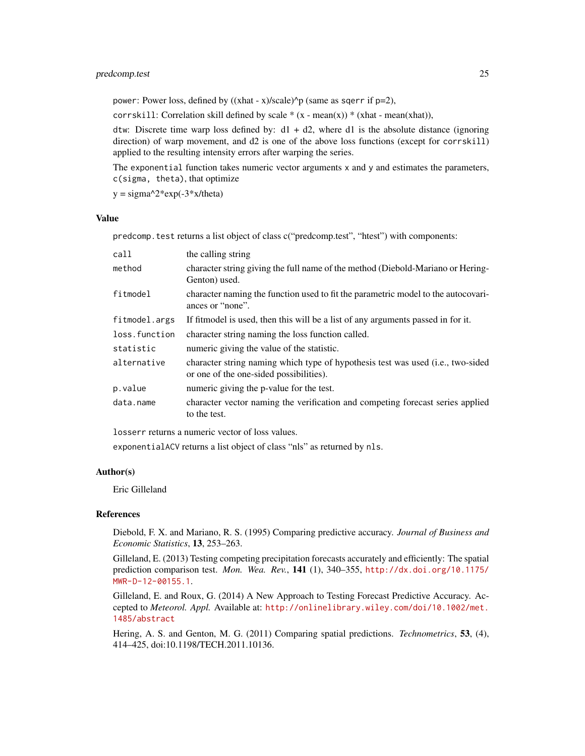## predcomp.test 25

power: Power loss, defined by  $((xhat - x)/x)$ cale)<sup> $\wedge$ </sup>p (same as sqerr if p=2),

corrskill: Correlation skill defined by scale  $*(x - mean(x)) * (xhat - mean(xhat)),$ 

dtw: Discrete time warp loss defined by:  $d1 + d2$ , where d1 is the absolute distance (ignoring direction) of warp movement, and d2 is one of the above loss functions (except for corrskill) applied to the resulting intensity errors after warping the series.

The exponential function takes numeric vector arguments x and y and estimates the parameters, c(sigma, theta), that optimize

 $y = \text{sigma}^2* \exp(-3*x/\text{theta})$ 

#### Value

predcomp.test returns a list object of class c("predcomp.test", "htest") with components:

| call          | the calling string                                                                                                                  |
|---------------|-------------------------------------------------------------------------------------------------------------------------------------|
| method        | character string giving the full name of the method (Diebold-Mariano or Hering-<br>Genton) used.                                    |
| fitmodel      | character naming the function used to fit the parametric model to the autocovari-<br>ances or "none".                               |
| fitmodel.args | If fit model is used, then this will be a list of any arguments passed in for it.                                                   |
| loss.function | character string naming the loss function called.                                                                                   |
| statistic     | numeric giving the value of the statistic.                                                                                          |
| alternative   | character string naming which type of hypothesis test was used ( <i>i.e.</i> , two-sided<br>or one of the one-sided possibilities). |
| p.value       | numeric giving the p-value for the test.                                                                                            |
| data.name     | character vector naming the verification and competing forecast series applied<br>to the test.                                      |

losserr returns a numeric vector of loss values.

exponentialACV returns a list object of class "nls" as returned by nls.

## Author(s)

Eric Gilleland

## References

Diebold, F. X. and Mariano, R. S. (1995) Comparing predictive accuracy. *Journal of Business and Economic Statistics*, 13, 253–263.

Gilleland, E. (2013) Testing competing precipitation forecasts accurately and efficiently: The spatial prediction comparison test. *Mon. Wea. Rev.*, 141 (1), 340–355, [http://dx.doi.org/10.1175/](http://dx.doi.org/10.1175/MWR-D-12-00155.1) [MWR-D-12-00155.1](http://dx.doi.org/10.1175/MWR-D-12-00155.1).

Gilleland, E. and Roux, G. (2014) A New Approach to Testing Forecast Predictive Accuracy. Accepted to *Meteorol. Appl.* Available at: [http://onlinelibrary.wiley.com/doi/10.1002/met.](http://onlinelibrary.wiley.com/doi/10.1002/met.1485/abstract) [1485/abstract](http://onlinelibrary.wiley.com/doi/10.1002/met.1485/abstract)

Hering, A. S. and Genton, M. G. (2011) Comparing spatial predictions. *Technometrics*, 53, (4), 414–425, doi:10.1198/TECH.2011.10136.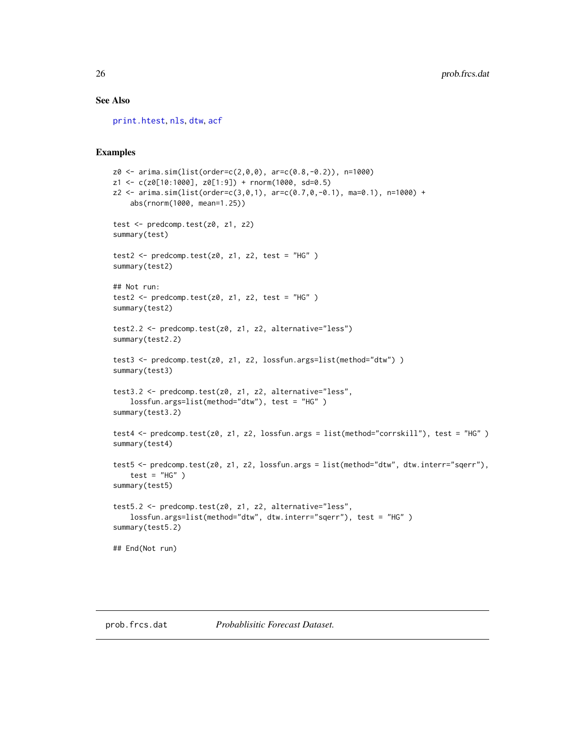#### See Also

[print.htest](#page-0-0), [nls](#page-0-0), [dtw](#page-0-0), [acf](#page-0-0)

### Examples

```
z0 <- arima.sim(list(order=c(2,0,0), ar=c(0.8,-0.2)), n=1000)
z1 <- c(z0[10:1000], z0[1:9]) + rnorm(1000, sd=0.5)
z2 \le -\arima.sim(list(order=c(3,0,1), arc=c(0.7,0,-0.1), mac0.1), n=1000) +abs(rnorm(1000, mean=1.25))
test <- predcomp.test(z0, z1, z2)
summary(test)
test2 <- predcomp.test(z0, z1, z2, test = "HG")
summary(test2)
## Not run:
test2 <- predcomp.test(z0, z1, z2, test = "HG")
summary(test2)
test2.2 <- predcomp.test(z0, z1, z2, alternative="less")
summary(test2.2)
test3 <- predcomp.test(z0, z1, z2, lossfun.args=list(method="dtw") )
summary(test3)
test3.2 <- predcomp.test(z0, z1, z2, alternative="less",
    lossfun.args=list(method="dtw"), test = "HG" )
summary(test3.2)
test4 <- predcomp.test(z0, z1, z2, lossfun.args = list(method="corrskill"), test = "HG" )
summary(test4)
test5 <- predcomp.test(z0, z1, z2, lossfun.args = list(method="dtw", dtw.interr="sqerr"),
   test = "HG")
summary(test5)
test5.2 <- predcomp.test(z0, z1, z2, alternative="less",
    lossfun.args=list(method="dtw", dtw.interr="sqerr"), test = "HG" )
summary(test5.2)
## End(Not run)
```
prob.frcs.dat *Probablisitic Forecast Dataset.*

<span id="page-25-0"></span>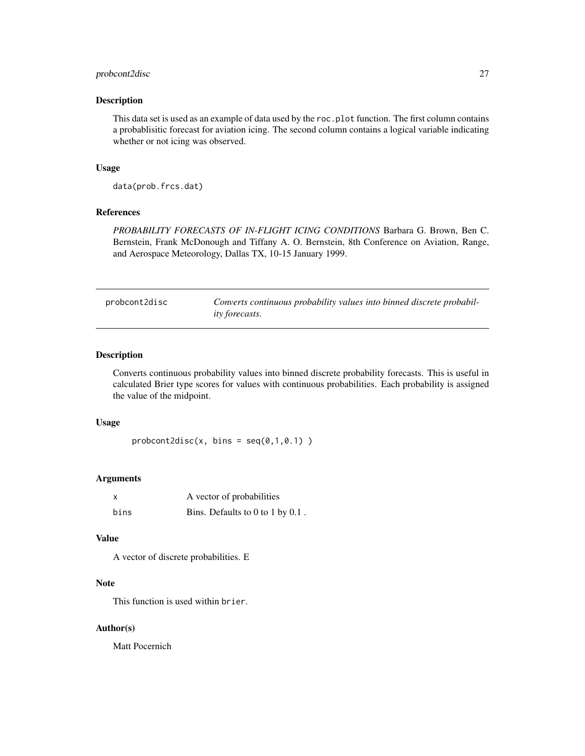## <span id="page-26-0"></span>probcont2disc 27

#### Description

This data set is used as an example of data used by the roc.plot function. The first column contains a probablisitic forecast for aviation icing. The second column contains a logical variable indicating whether or not icing was observed.

#### Usage

data(prob.frcs.dat)

## References

*PROBABILITY FORECASTS OF IN-FLIGHT ICING CONDITIONS* Barbara G. Brown, Ben C. Bernstein, Frank McDonough and Tiffany A. O. Bernstein, 8th Conference on Aviation, Range, and Aerospace Meteorology, Dallas TX, 10-15 January 1999.

probcont2disc *Converts continuous probability values into binned discrete probability forecasts.*

#### Description

Converts continuous probability values into binned discrete probability forecasts. This is useful in calculated Brier type scores for values with continuous probabilities. Each probability is assigned the value of the midpoint.

#### Usage

 $probcont2disc(x, bins = seq(0, 1, 0.1))$ 

#### Arguments

|      | A vector of probabilities        |
|------|----------------------------------|
| bins | Bins. Defaults to 0 to 1 by 0.1. |

#### Value

A vector of discrete probabilities. E

## Note

This function is used within brier.

#### Author(s)

Matt Pocernich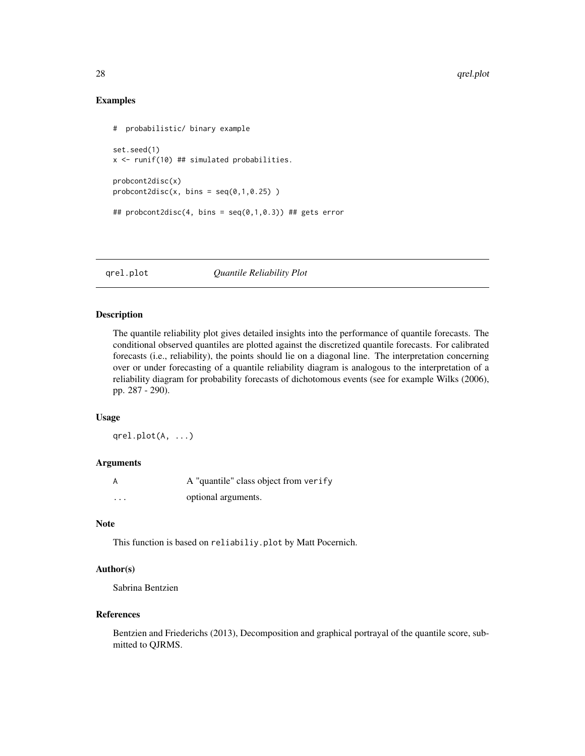## Examples

```
# probabilistic/ binary example
set.seed(1)
x <- runif(10) ## simulated probabilities.
probcont2disc(x)
probcont2disc(x, bins = seq(0, 1, 0.25))## probcont2disc(4, bins = seq(0,1,0.3)) ## gets error
```
<span id="page-27-1"></span>qrel.plot *Quantile Reliability Plot*

#### Description

The quantile reliability plot gives detailed insights into the performance of quantile forecasts. The conditional observed quantiles are plotted against the discretized quantile forecasts. For calibrated forecasts (i.e., reliability), the points should lie on a diagonal line. The interpretation concerning over or under forecasting of a quantile reliability diagram is analogous to the interpretation of a reliability diagram for probability forecasts of dichotomous events (see for example Wilks (2006), pp. 287 - 290).

#### Usage

qrel.plot(A, ...)

#### Arguments

| A        | A "quantile" class object from verify |
|----------|---------------------------------------|
| $\cdots$ | optional arguments.                   |

### Note

This function is based on reliabiliy.plot by Matt Pocernich.

#### Author(s)

Sabrina Bentzien

#### References

Bentzien and Friederichs (2013), Decomposition and graphical portrayal of the quantile score, submitted to QJRMS.

<span id="page-27-0"></span>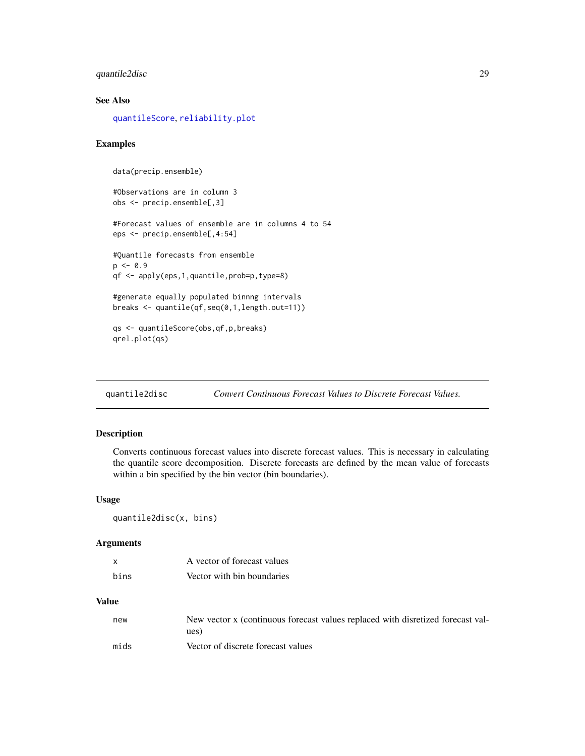## <span id="page-28-0"></span>quantile2disc 29

## See Also

[quantileScore](#page-29-1), [reliability.plot](#page-32-1)

#### Examples

```
data(precip.ensemble)
#Observations are in column 3
obs <- precip.ensemble[,3]
#Forecast values of ensemble are in columns 4 to 54
eps <- precip.ensemble[,4:54]
#Quantile forecasts from ensemble
p \le -0.9qf <- apply(eps,1,quantile,prob=p,type=8)
#generate equally populated binnng intervals
breaks <- quantile(qf,seq(0,1,length.out=11))
qs <- quantileScore(obs,qf,p,breaks)
qrel.plot(qs)
```
quantile2disc *Convert Continuous Forecast Values to Discrete Forecast Values.*

## Description

Converts continuous forecast values into discrete forecast values. This is necessary in calculating the quantile score decomposition. Discrete forecasts are defined by the mean value of forecasts within a bin specified by the bin vector (bin boundaries).

#### Usage

```
quantile2disc(x, bins)
```
#### Arguments

| $\mathbf{x}$ | A vector of forecast values |
|--------------|-----------------------------|
| hins         | Vector with bin boundaries  |

#### Value

| new  | New vector x (continuous forecast values replaced with disretized forecast val-<br>ues) |
|------|-----------------------------------------------------------------------------------------|
| mids | Vector of discrete forecast values                                                      |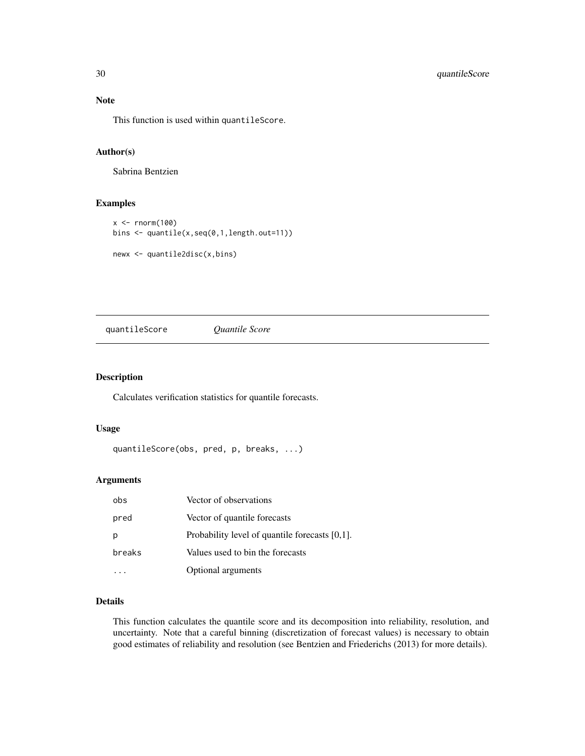This function is used within quantileScore.

## Author(s)

Sabrina Bentzien

#### Examples

```
x < - rnorm(100)
bins <- quantile(x,seq(0,1,length.out=11))
newx <- quantile2disc(x,bins)
```
<span id="page-29-1"></span>quantileScore *Quantile Score*

## Description

Calculates verification statistics for quantile forecasts.

#### Usage

```
quantileScore(obs, pred, p, breaks, ...)
```
#### Arguments

| obs    | Vector of observations                            |
|--------|---------------------------------------------------|
| pred   | Vector of quantile forecasts                      |
|        | Probability level of quantile forecasts $[0,1]$ . |
| breaks | Values used to bin the forecasts                  |
|        | Optional arguments                                |

#### Details

This function calculates the quantile score and its decomposition into reliability, resolution, and uncertainty. Note that a careful binning (discretization of forecast values) is necessary to obtain good estimates of reliability and resolution (see Bentzien and Friederichs (2013) for more details).

<span id="page-29-0"></span>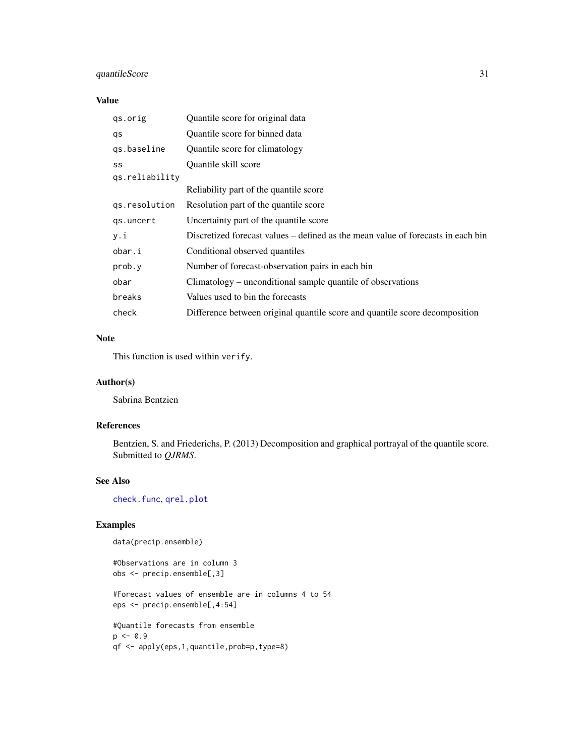## <span id="page-30-0"></span>quantileScore 31

## Value

| gs.orig        | Quantile score for original data                                                 |
|----------------|----------------------------------------------------------------------------------|
| qs             | Quantile score for binned data                                                   |
| qs.baseline    | Quantile score for climatology                                                   |
| SS             | Quantile skill score                                                             |
| qs.reliability |                                                                                  |
|                | Reliability part of the quantile score                                           |
| qs.resolution  | Resolution part of the quantile score                                            |
| qs.uncert      | Uncertainty part of the quantile score                                           |
| y.i            | Discretized forecast values – defined as the mean value of forecasts in each bin |
| obar.i         | Conditional observed quantiles                                                   |
| prob.y         | Number of forecast-observation pairs in each bin                                 |
| obar           | Climatology – unconditional sample quantile of observations                      |
| breaks         | Values used to bin the forecasts                                                 |
| check          | Difference between original quantile score and quantile score decomposition      |

## Note

This function is used within verify.

### Author(s)

Sabrina Bentzien

## References

Bentzien, S. and Friederichs, P. (2013) Decomposition and graphical portrayal of the quantile score. Submitted to *QJRMS*.

## See Also

[check.func](#page-5-1), [qrel.plot](#page-27-1)

```
data(precip.ensemble)
```

```
#Observations are in column 3
obs <- precip.ensemble[,3]
#Forecast values of ensemble are in columns 4 to 54
eps <- precip.ensemble[,4:54]
#Quantile forecasts from ensemble
p \leftarrow 0.9
```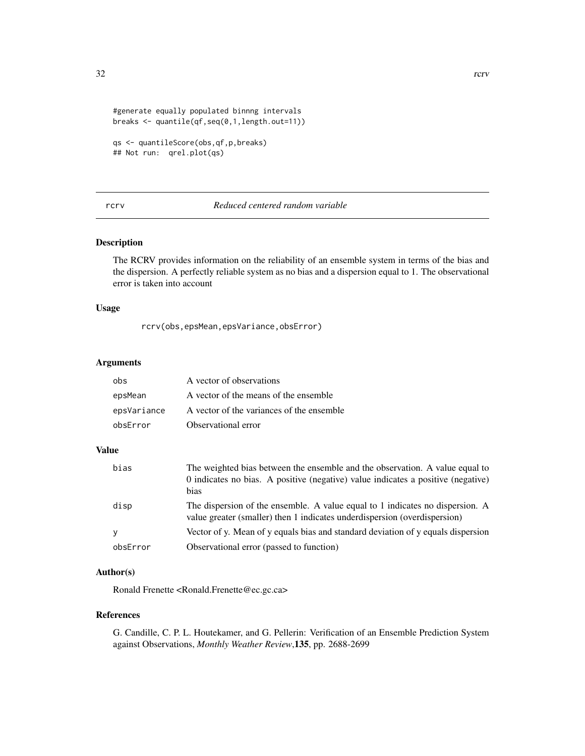```
#generate equally populated binnng intervals
breaks <- quantile(qf,seq(0,1,length.out=11))
```

```
qs <- quantileScore(obs,qf,p,breaks)
## Not run: qrel.plot(qs)
```
## rcrv *Reduced centered random variable*

## Description

The RCRV provides information on the reliability of an ensemble system in terms of the bias and the dispersion. A perfectly reliable system as no bias and a dispersion equal to 1. The observational error is taken into account

#### Usage

rcrv(obs,epsMean,epsVariance,obsError)

## Arguments

| obs         | A vector of observations                  |
|-------------|-------------------------------------------|
| epsMean     | A vector of the means of the ensemble     |
| epsVariance | A vector of the variances of the ensemble |
| obsError    | Observational error                       |

#### Value

| bias     | The weighted bias between the ensemble and the observation. A value equal to<br>0 indicates no bias. A positive (negative) value indicates a positive (negative)<br>bias |
|----------|--------------------------------------------------------------------------------------------------------------------------------------------------------------------------|
| disp     | The dispersion of the ensemble. A value equal to 1 indicates no dispersion. A<br>value greater (smaller) then 1 indicates underdispersion (overdispersion)               |
|          | Vector of y. Mean of y equals bias and standard deviation of y equals dispersion                                                                                         |
| obsError | Observational error (passed to function)                                                                                                                                 |

## Author(s)

Ronald Frenette <Ronald.Frenette@ec.gc.ca>

## References

G. Candille, C. P. L. Houtekamer, and G. Pellerin: Verification of an Ensemble Prediction System against Observations, *Monthly Weather Review*,135, pp. 2688-2699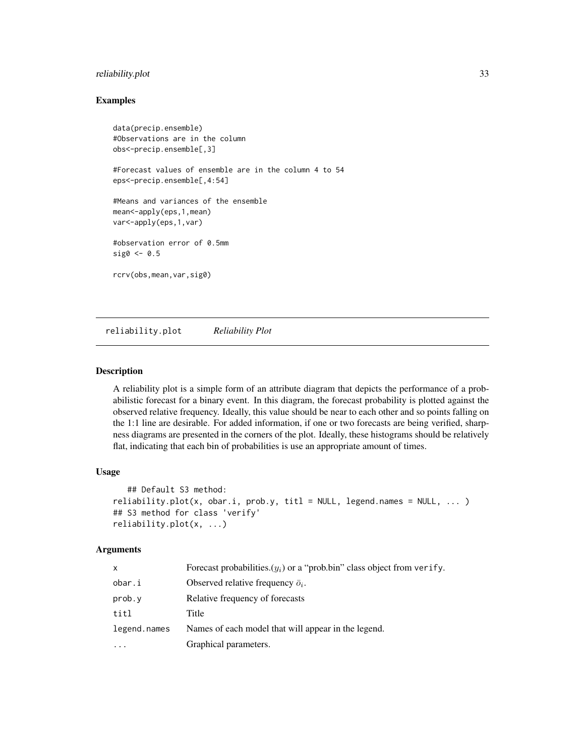## <span id="page-32-0"></span>reliability.plot 33

#### Examples

```
data(precip.ensemble)
#Observations are in the column
obs<-precip.ensemble[,3]
#Forecast values of ensemble are in the column 4 to 54
eps<-precip.ensemble[,4:54]
#Means and variances of the ensemble
mean<-apply(eps,1,mean)
var<-apply(eps,1,var)
#observation error of 0.5mm
sig0 \le 0.5rcrv(obs,mean,var,sig0)
```
<span id="page-32-1"></span>reliability.plot *Reliability Plot*

#### Description

A reliability plot is a simple form of an attribute diagram that depicts the performance of a probabilistic forecast for a binary event. In this diagram, the forecast probability is plotted against the observed relative frequency. Ideally, this value should be near to each other and so points falling on the 1:1 line are desirable. For added information, if one or two forecasts are being verified, sharpness diagrams are presented in the corners of the plot. Ideally, these histograms should be relatively flat, indicating that each bin of probabilities is use an appropriate amount of times.

## Usage

```
## Default S3 method:
reliability.plot(x, obar.i, prob.y, tilt = NULL, legend.name = NULL, ...)## S3 method for class 'verify'
reliability.plot(x, ...)
```
#### Arguments

| x            | Forecast probabilities. $(y_i)$ or a "prob.bin" class object from verify. |
|--------------|---------------------------------------------------------------------------|
| obar.i       | Observed relative frequency $\bar{o}_i$ .                                 |
| prob.y       | Relative frequency of forecasts                                           |
| titl         | Title                                                                     |
| legend.names | Names of each model that will appear in the legend.                       |
| $\ddotsc$    | Graphical parameters.                                                     |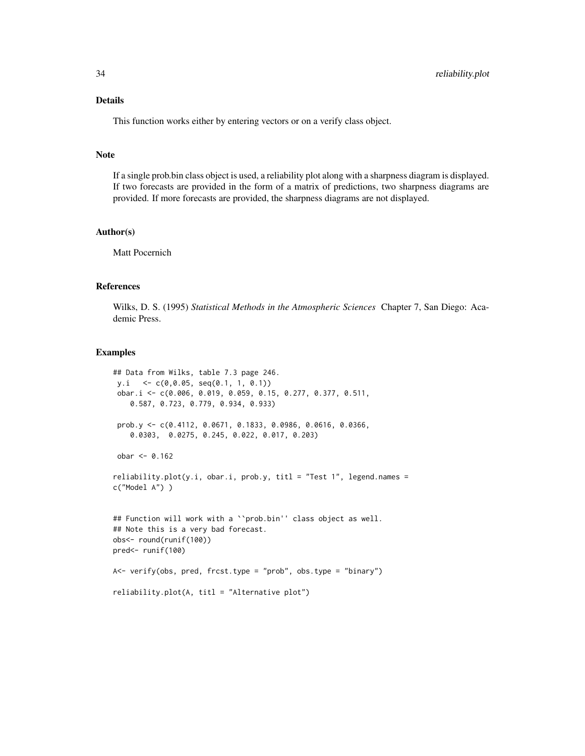## Details

This function works either by entering vectors or on a verify class object.

#### **Note**

If a single prob.bin class object is used, a reliability plot along with a sharpness diagram is displayed. If two forecasts are provided in the form of a matrix of predictions, two sharpness diagrams are provided. If more forecasts are provided, the sharpness diagrams are not displayed.

#### Author(s)

Matt Pocernich

## References

Wilks, D. S. (1995) *Statistical Methods in the Atmospheric Sciences* Chapter 7, San Diego: Academic Press.

```
## Data from Wilks, table 7.3 page 246.
 y.i <- c(0,0.05, seq(0.1, 1, 0.1))
 obar.i <- c(0.006, 0.019, 0.059, 0.15, 0.277, 0.377, 0.511,
   0.587, 0.723, 0.779, 0.934, 0.933)
 prob.y <- c(0.4112, 0.0671, 0.1833, 0.0986, 0.0616, 0.0366,
    0.0303, 0.0275, 0.245, 0.022, 0.017, 0.203)
 obar <- 0.162
reliability.plot(y.i, obar.i, prob.y, tilt = "Test 1", legend.names =c("Model A") )
## Function will work with a ``prob.bin'' class object as well.
## Note this is a very bad forecast.
obs<- round(runif(100))
pred<- runif(100)
A<- verify(obs, pred, frcst.type = "prob", obs.type = "binary")
reliability.plot(A, titl = "Alternative plot")
```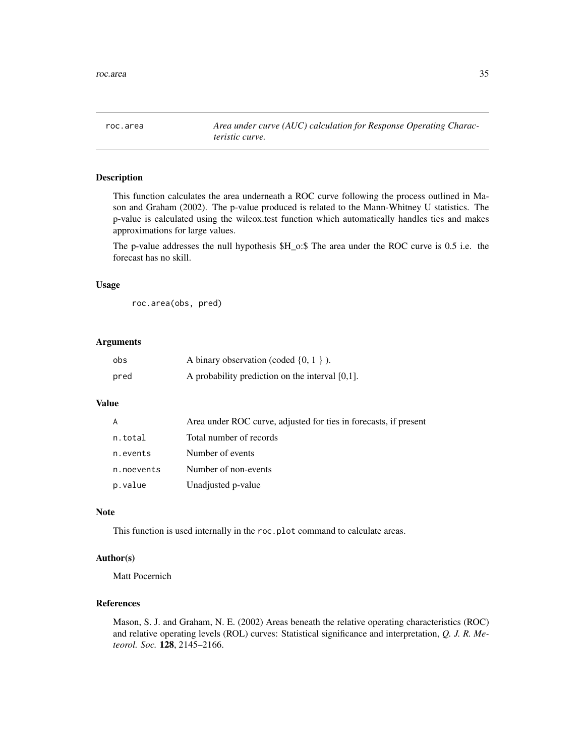<span id="page-34-1"></span><span id="page-34-0"></span>roc.area *Area under curve (AUC) calculation for Response Operating Characteristic curve.*

#### Description

This function calculates the area underneath a ROC curve following the process outlined in Mason and Graham (2002). The p-value produced is related to the Mann-Whitney U statistics. The p-value is calculated using the wilcox.test function which automatically handles ties and makes approximations for large values.

The p-value addresses the null hypothesis \$H\_o:\$ The area under the ROC curve is 0.5 i.e. the forecast has no skill.

#### Usage

roc.area(obs, pred)

#### Arguments

| obs  | A binary observation (coded $\{0, 1\}$ ).          |
|------|----------------------------------------------------|
| pred | A probability prediction on the interval $[0,1]$ . |

## Value

| A          | Area under ROC curve, adjusted for ties in forecasts, if present |
|------------|------------------------------------------------------------------|
| n.total    | Total number of records                                          |
| n.events   | Number of events                                                 |
| n.noevents | Number of non-events                                             |
| p.value    | Unadjusted p-value                                               |

#### Note

This function is used internally in the roc.plot command to calculate areas.

## Author(s)

Matt Pocernich

## References

Mason, S. J. and Graham, N. E. (2002) Areas beneath the relative operating characteristics (ROC) and relative operating levels (ROL) curves: Statistical significance and interpretation, *Q. J. R. Meteorol. Soc.* 128, 2145–2166.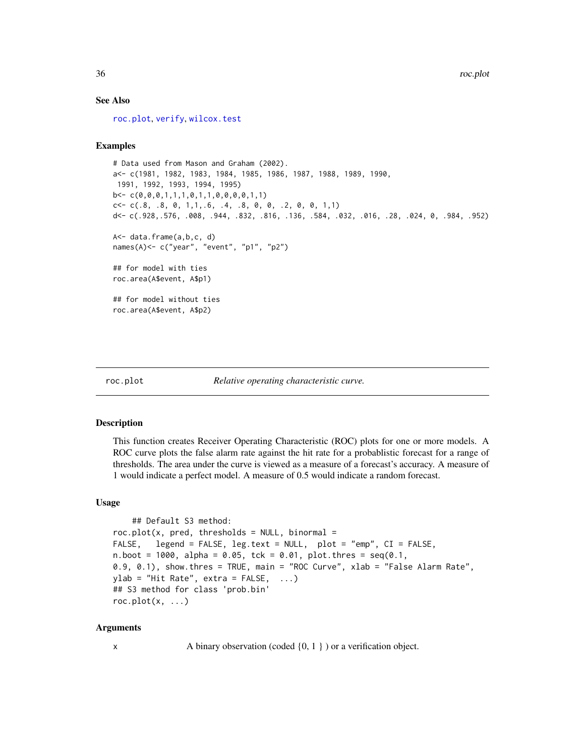#### See Also

[roc.plot](#page-35-1), [verify](#page-44-1), [wilcox.test](#page-0-0)

#### Examples

```
# Data used from Mason and Graham (2002).
a<- c(1981, 1982, 1983, 1984, 1985, 1986, 1987, 1988, 1989, 1990,
1991, 1992, 1993, 1994, 1995)
b<- c(0,0,0,1,1,1,0,1,1,0,0,0,0,1,1)
c < -c(.8, .8, 0, 1, 1, .6, .4, .8, 0, 0, .2, 0, 0, 1, 1)d<- c(.928,.576, .008, .944, .832, .816, .136, .584, .032, .016, .28, .024, 0, .984, .952)
A<- data.frame(a,b,c, d)
names(A)<- c("year", "event", "p1", "p2")
## for model with ties
roc.area(A$event, A$p1)
## for model without ties
roc.area(A$event, A$p2)
```
<span id="page-35-1"></span>roc.plot *Relative operating characteristic curve.*

| Relative operating characteristic curve. |  |  |
|------------------------------------------|--|--|
|                                          |  |  |

#### Description

This function creates Receiver Operating Characteristic (ROC) plots for one or more models. A ROC curve plots the false alarm rate against the hit rate for a probablistic forecast for a range of thresholds. The area under the curve is viewed as a measure of a forecast's accuracy. A measure of 1 would indicate a perfect model. A measure of 0.5 would indicate a random forecast.

#### Usage

```
## Default S3 method:
roc.plot(x, pred, thresholds = NULL, binormal =FALSE, legend = FALSE, leg.text = NULL, plot = "emp", CI = FALSE,
n.boot = 1000, alpha = 0.05, tck = 0.01, plot.thres = seq(0.1,
0.9, 0.1), show.thres = TRUE, main = "ROC Curve", xlab = "False Alarm Rate",
ylab = "Hit Rate", extra = FALSE, ...)
## S3 method for class 'prob.bin'
roc.plot(x, \ldots)
```
#### Arguments

x A binary observation (coded  $\{0, 1\}$ ) or a verification object.

<span id="page-35-0"></span>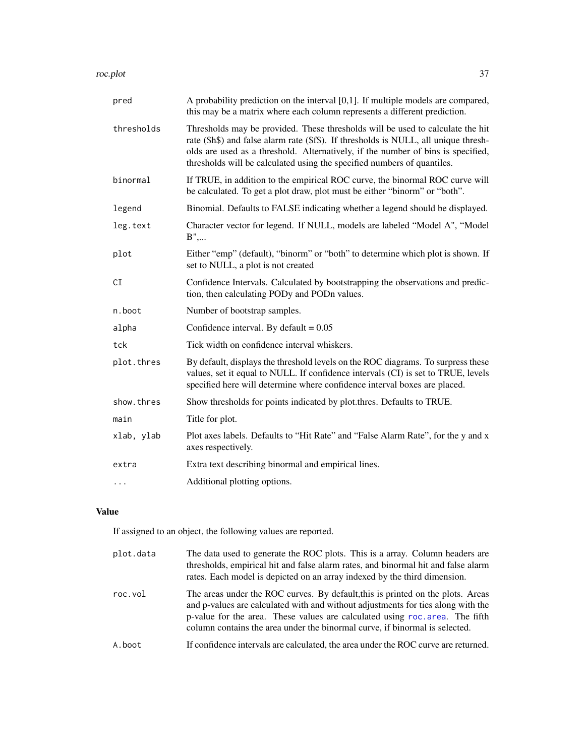<span id="page-36-0"></span>roc.plot 37

| pred       | A probability prediction on the interval $[0,1]$ . If multiple models are compared,<br>this may be a matrix where each column represents a different prediction.                                                                                                                                                                      |
|------------|---------------------------------------------------------------------------------------------------------------------------------------------------------------------------------------------------------------------------------------------------------------------------------------------------------------------------------------|
| thresholds | Thresholds may be provided. These thresholds will be used to calculate the hit<br>rate (\$h\$) and false alarm rate (\$f\$). If thresholds is NULL, all unique thresh-<br>olds are used as a threshold. Alternatively, if the number of bins is specified,<br>thresholds will be calculated using the specified numbers of quantiles. |
| binormal   | If TRUE, in addition to the empirical ROC curve, the binormal ROC curve will<br>be calculated. To get a plot draw, plot must be either "binorm" or "both".                                                                                                                                                                            |
| legend     | Binomial. Defaults to FALSE indicating whether a legend should be displayed.                                                                                                                                                                                                                                                          |
| leg.text   | Character vector for legend. If NULL, models are labeled "Model A", "Model<br>$B$ ",                                                                                                                                                                                                                                                  |
| plot       | Either "emp" (default), "binorm" or "both" to determine which plot is shown. If<br>set to NULL, a plot is not created                                                                                                                                                                                                                 |
| CI         | Confidence Intervals. Calculated by bootstrapping the observations and predic-<br>tion, then calculating PODy and PODn values.                                                                                                                                                                                                        |
| n.boot     | Number of bootstrap samples.                                                                                                                                                                                                                                                                                                          |
| alpha      | Confidence interval. By default = $0.05$                                                                                                                                                                                                                                                                                              |
| tck        | Tick width on confidence interval whiskers.                                                                                                                                                                                                                                                                                           |
| plot.thres | By default, displays the threshold levels on the ROC diagrams. To surpress these<br>values, set it equal to NULL. If confidence intervals (CI) is set to TRUE, levels<br>specified here will determine where confidence interval boxes are placed.                                                                                    |
| show.thres | Show thresholds for points indicated by plot.thres. Defaults to TRUE.                                                                                                                                                                                                                                                                 |
| main       | Title for plot.                                                                                                                                                                                                                                                                                                                       |
| xlab, ylab | Plot axes labels. Defaults to "Hit Rate" and "False Alarm Rate", for the y and x<br>axes respectively.                                                                                                                                                                                                                                |
| extra      | Extra text describing binormal and empirical lines.                                                                                                                                                                                                                                                                                   |
| $\cdots$   | Additional plotting options.                                                                                                                                                                                                                                                                                                          |

## Value

If assigned to an object, the following values are reported.

| plot.data | The data used to generate the ROC plots. This is a array. Column headers are<br>thresholds, empirical hit and false alarm rates, and binormal hit and false alarm<br>rates. Each model is depicted on an array indexed by the third dimension.                                                                                     |
|-----------|------------------------------------------------------------------------------------------------------------------------------------------------------------------------------------------------------------------------------------------------------------------------------------------------------------------------------------|
| roc.vol   | The areas under the ROC curves. By default, this is printed on the plots. Areas<br>and p-values are calculated with and without adjustments for ties along with the<br>p-value for the area. These values are calculated using roc. area. The fifth<br>column contains the area under the binormal curve, if binormal is selected. |
| A.boot    | If confidence intervals are calculated, the area under the ROC curve are returned.                                                                                                                                                                                                                                                 |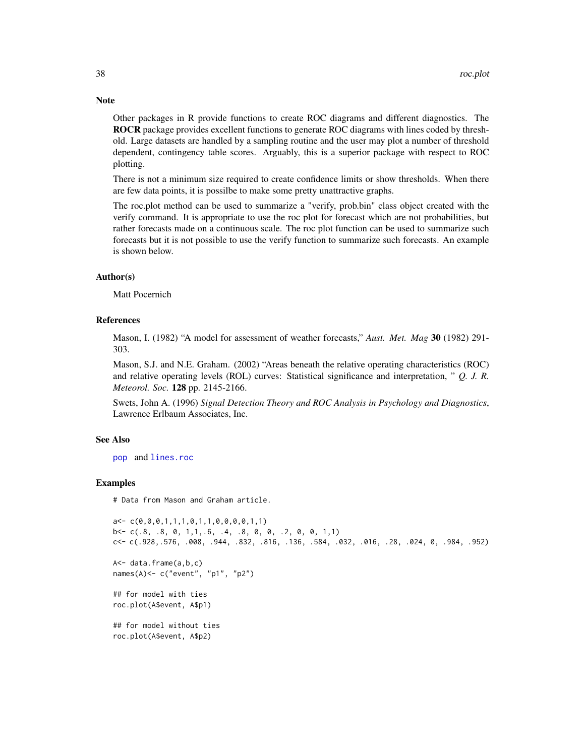Other packages in R provide functions to create ROC diagrams and different diagnostics. The ROCR package provides excellent functions to generate ROC diagrams with lines coded by threshold. Large datasets are handled by a sampling routine and the user may plot a number of threshold dependent, contingency table scores. Arguably, this is a superior package with respect to ROC plotting.

There is not a minimum size required to create confidence limits or show thresholds. When there are few data points, it is possilbe to make some pretty unattractive graphs.

The roc.plot method can be used to summarize a "verify, prob.bin" class object created with the verify command. It is appropriate to use the roc plot for forecast which are not probabilities, but rather forecasts made on a continuous scale. The roc plot function can be used to summarize such forecasts but it is not possible to use the verify function to summarize such forecasts. An example is shown below.

## Author(s)

Matt Pocernich

#### References

Mason, I. (1982) "A model for assessment of weather forecasts," *Aust. Met. Mag* 30 (1982) 291- 303.

Mason, S.J. and N.E. Graham. (2002) "Areas beneath the relative operating characteristics (ROC) and relative operating levels (ROL) curves: Statistical significance and interpretation, " *Q. J. R. Meteorol. Soc.* 128 pp. 2145-2166.

Swets, John A. (1996) *Signal Detection Theory and ROC Analysis in Psychology and Diagnostics*, Lawrence Erlbaum Associates, Inc.

#### See Also

[pop](#page-21-1) and [lines.roc](#page-15-2)

#### Examples

# Data from Mason and Graham article.

```
a \leftarrow c(0, 0, 0, 1, 1, 1, 0, 1, 1, 0, 0, 0, 0, 1, 1)b \leftarrow c(.8, .8, 0, 1, 1, .6, .4, .8, 0, 0, .2, 0, 0, 1, 1)c<- c(.928,.576, .008, .944, .832, .816, .136, .584, .032, .016, .28, .024, 0, .984, .952)
A<- data.frame(a,b,c)
names(A)<- c("event", "p1", "p2")
## for model with ties
roc.plot(A$event, A$p1)
## for model without ties
roc.plot(A$event, A$p2)
```
<span id="page-37-0"></span>

## **Note**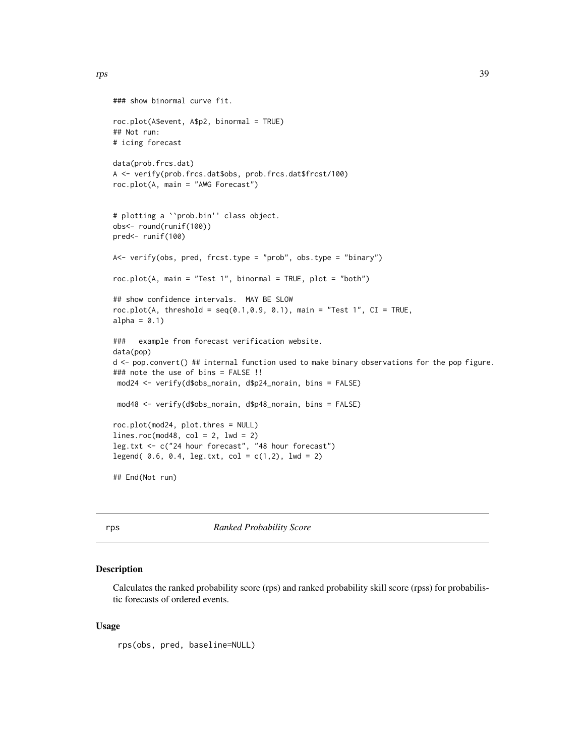```
### show binormal curve fit.
roc.plot(A$event, A$p2, binormal = TRUE)
## Not run:
# icing forecast
data(prob.frcs.dat)
A <- verify(prob.frcs.dat$obs, prob.frcs.dat$frcst/100)
roc.plot(A, main = "AWG Forecast")
# plotting a ``prob.bin'' class object.
obs<- round(runif(100))
pred<- runif(100)
A<- verify(obs, pred, frcst.type = "prob", obs.type = "binary")
roc.plot(A, main = "Test 1", binormal = TRUE, plot = "both")
## show confidence intervals. MAY BE SLOW
roc.plot(A, threshold = seq(0.1, 0.9, 0.1), main = "Test 1", CI = TRUE,
alpha = 0.1)
### example from forecast verification website.
data(pop)
d <- pop.convert() ## internal function used to make binary observations for the pop figure.
### note the use of bins = FALSE !!
mod24 <- verify(d$obs_norain, d$p24_norain, bins = FALSE)
mod48 <- verify(d$obs_norain, d$p48_norain, bins = FALSE)
roc.plot(mod24, plot.thres = NULL)
lines.roc(mod48, col = 2, lwd = 2)
leg.txt <- c("24 hour forecast", "48 hour forecast")
legend( 0.6, 0.4, leg.txt, col = c(1,2), lwd = 2)
## End(Not run)
```
rps *Ranked Probability Score*

#### Description

Calculates the ranked probability score (rps) and ranked probability skill score (rpss) for probabilistic forecasts of ordered events.

#### Usage

rps(obs, pred, baseline=NULL)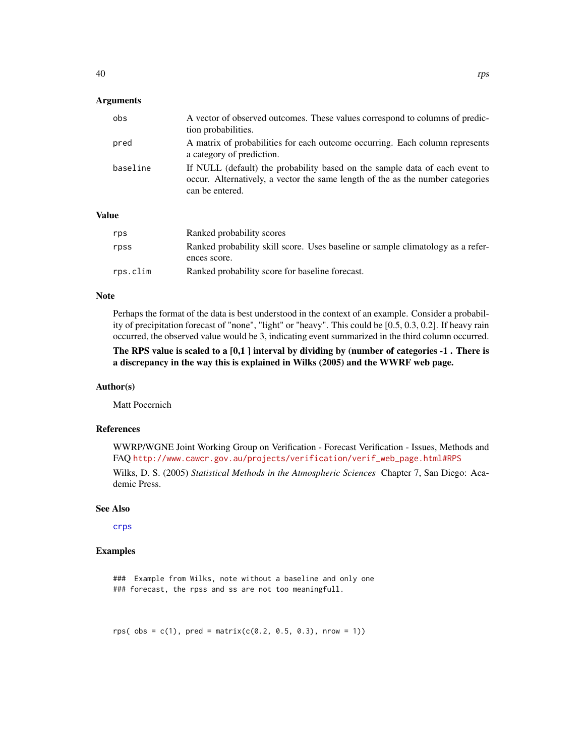## <span id="page-39-0"></span>**Arguments**

| obs      | A vector of observed outcomes. These values correspond to columns of predic-<br>tion probabilities.                                                                              |
|----------|----------------------------------------------------------------------------------------------------------------------------------------------------------------------------------|
| pred     | A matrix of probabilities for each outcome occurring. Each column represents<br>a category of prediction.                                                                        |
| baseline | If NULL (default) the probability based on the sample data of each event to<br>occur. Alternatively, a vector the same length of the as the number categories<br>can be entered. |

## Value

| rps      | Ranked probability scores                                                       |
|----------|---------------------------------------------------------------------------------|
| rpss     | Ranked probability skill score. Uses baseline or sample climatology as a refer- |
|          | ences score.                                                                    |
| rps.clim | Ranked probability score for baseline forecast.                                 |

#### Note

Perhaps the format of the data is best understood in the context of an example. Consider a probability of precipitation forecast of "none", "light" or "heavy". This could be [0.5, 0.3, 0.2]. If heavy rain occurred, the observed value would be 3, indicating event summarized in the third column occurred.

## The RPS value is scaled to a [0,1 ] interval by dividing by (number of categories -1 . There is a discrepancy in the way this is explained in Wilks (2005) and the WWRF web page.

#### Author(s)

Matt Pocernich

### References

WWRP/WGNE Joint Working Group on Verification - Forecast Verification - Issues, Methods and FAQ [http://www.cawcr.gov.au/projects/verification/verif\\_web\\_page.html#RPS](http://www.cawcr.gov.au/projects/verification/verif_web_page.html#RPS)

Wilks, D. S. (2005) *Statistical Methods in the Atmospheric Sciences* Chapter 7, San Diego: Academic Press.

#### See Also

[crps](#page-7-1)

## Examples

### Example from Wilks, note without a baseline and only one ### forecast, the rpss and ss are not too meaningfull.

rps(  $obs = c(1)$ , pred = matrix( $c(0.2, 0.5, 0.3)$ , nrow = 1))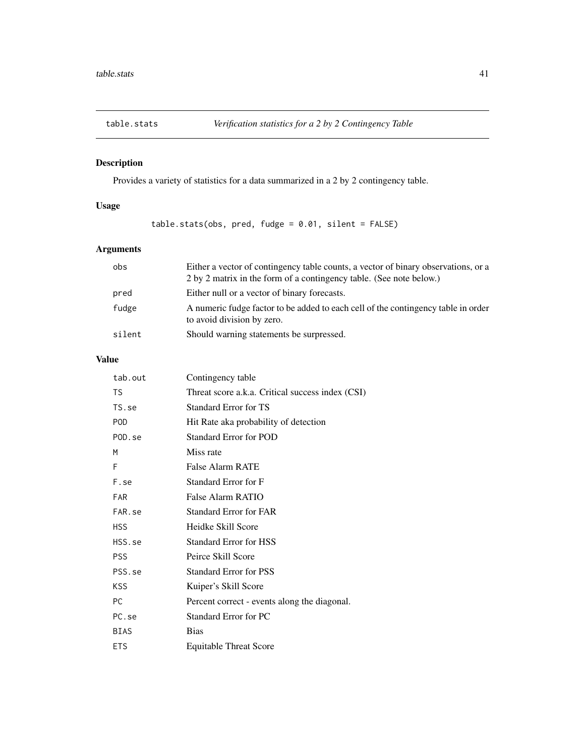<span id="page-40-0"></span>

## Description

Provides a variety of statistics for a data summarized in a 2 by 2 contingency table.

## Usage

table.stats(obs, pred, fudge = 0.01, silent = FALSE)

## Arguments

| obs    | Either a vector of contingency table counts, a vector of binary observations, or a<br>2 by 2 matrix in the form of a contingency table. (See note below.) |
|--------|-----------------------------------------------------------------------------------------------------------------------------------------------------------|
| pred   | Either null or a vector of binary forecasts.                                                                                                              |
| fudge  | A numeric fudge factor to be added to each cell of the contingency table in order<br>to avoid division by zero.                                           |
| silent | Should warning statements be surpressed.                                                                                                                  |

## Value

| tab.out     | Contingency table                                |
|-------------|--------------------------------------------------|
| <b>TS</b>   | Threat score a.k.a. Critical success index (CSI) |
| TS.se       | <b>Standard Error for TS</b>                     |
| <b>POD</b>  | Hit Rate aka probability of detection            |
| POD.se      | <b>Standard Error for POD</b>                    |
| M           | Miss rate                                        |
| F           | False Alarm RATE                                 |
| F.se        | Standard Error for F                             |
| <b>FAR</b>  | False Alarm RATIO                                |
| FAR.se      | <b>Standard Error for FAR</b>                    |
| <b>HSS</b>  | Heidke Skill Score                               |
| HSS.se      | <b>Standard Error for HSS</b>                    |
| <b>PSS</b>  | Peirce Skill Score                               |
| PSS.se      | <b>Standard Error for PSS</b>                    |
| <b>KSS</b>  | Kuiper's Skill Score                             |
| <b>PC</b>   | Percent correct - events along the diagonal.     |
| PC.se       | <b>Standard Error for PC</b>                     |
| <b>BIAS</b> | <b>Bias</b>                                      |
| <b>ETS</b>  | <b>Equitable Threat Score</b>                    |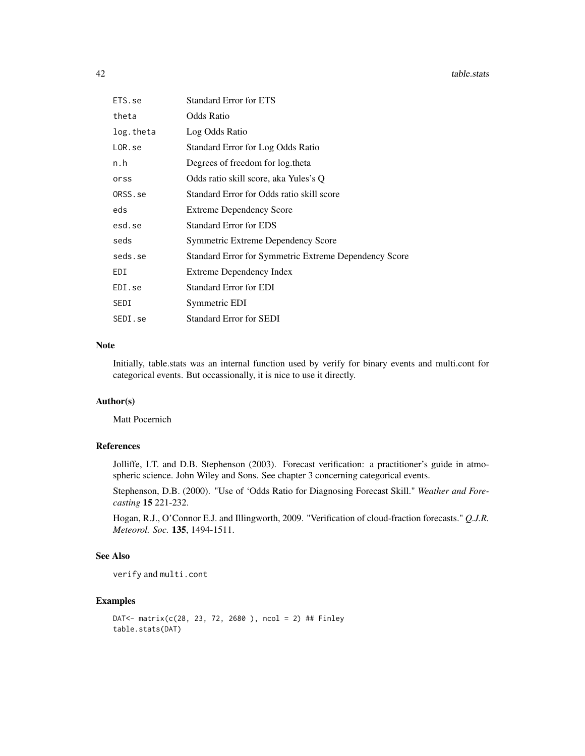| ETS.se     | <b>Standard Error for ETS</b>                         |
|------------|-------------------------------------------------------|
| theta      | Odds Ratio                                            |
| log.theta  | Log Odds Ratio                                        |
| $LOR$ . se | Standard Error for Log Odds Ratio                     |
| n.h        | Degrees of freedom for log.theta                      |
| orss       | Odds ratio skill score, aka Yules's Q                 |
| ORSS.se    | Standard Error for Odds ratio skill score             |
| eds        | <b>Extreme Dependency Score</b>                       |
| esd.se     | <b>Standard Error for EDS</b>                         |
| seds       | Symmetric Extreme Dependency Score                    |
| seds.se    | Standard Error for Symmetric Extreme Dependency Score |
| EDI        | Extreme Dependency Index                              |
| EDI.se     | <b>Standard Error for EDI</b>                         |
| SEDI       | Symmetric EDI                                         |
| SEDI.se    | <b>Standard Error for SEDI</b>                        |

## Note

Initially, table.stats was an internal function used by verify for binary events and multi.cont for categorical events. But occassionally, it is nice to use it directly.

## Author(s)

Matt Pocernich

## References

Jolliffe, I.T. and D.B. Stephenson (2003). Forecast verification: a practitioner's guide in atmospheric science. John Wiley and Sons. See chapter 3 concerning categorical events.

Stephenson, D.B. (2000). "Use of 'Odds Ratio for Diagnosing Forecast Skill." *Weather and Forecasting* 15 221-232.

Hogan, R.J., O'Connor E.J. and Illingworth, 2009. "Verification of cloud-fraction forecasts." *Q.J.R. Meteorol. Soc.* 135, 1494-1511.

#### See Also

```
verify and multi.cont
```

```
DAT<- matrix(c(28, 23, 72, 2680 ), ncol = 2) ## Finley
table.stats(DAT)
```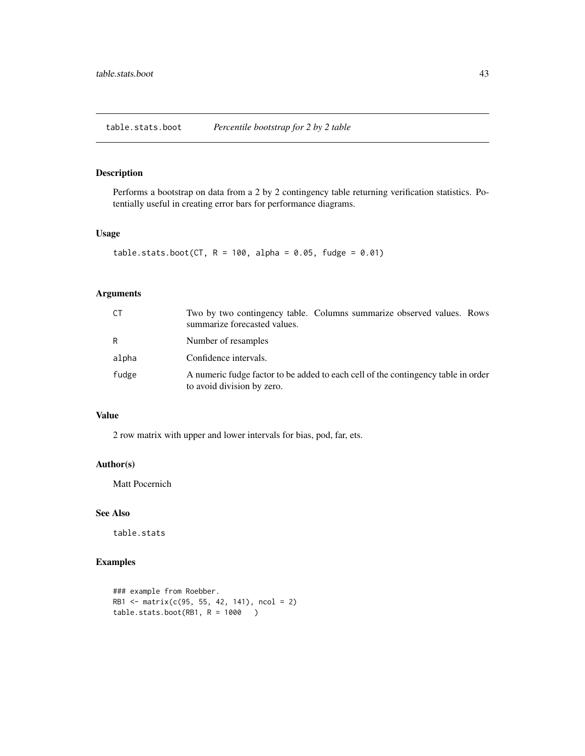<span id="page-42-0"></span>table.stats.boot *Percentile bootstrap for 2 by 2 table*

## Description

Performs a bootstrap on data from a 2 by 2 contingency table returning verification statistics. Potentially useful in creating error bars for performance diagrams.

## Usage

```
table.stats.boot(CT, R = 100, alpha = 0.05, fudge = 0.01)
```
## Arguments

| СT    | Two by two contingency table. Columns summarize observed values. Rows<br>summarize forecasted values.           |
|-------|-----------------------------------------------------------------------------------------------------------------|
| R     | Number of resamples                                                                                             |
| alpha | Confidence intervals.                                                                                           |
| fudge | A numeric fudge factor to be added to each cell of the contingency table in order<br>to avoid division by zero. |

## Value

2 row matrix with upper and lower intervals for bias, pod, far, ets.

#### Author(s)

Matt Pocernich

## See Also

table.stats

```
### example from Roebber.
RB1 <- matrix(c(95, 55, 42, 141), ncol = 2)
table. stats.boot(RB1, R = 1000)
```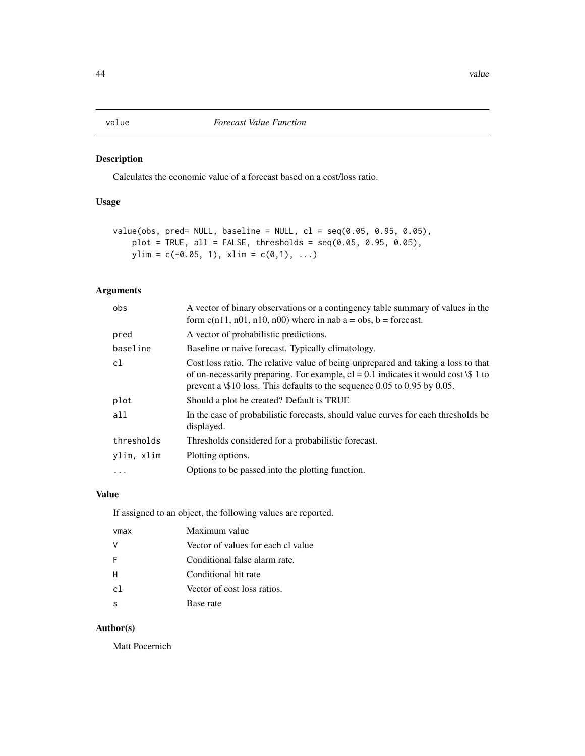## <span id="page-43-1"></span><span id="page-43-0"></span>Description

Calculates the economic value of a forecast based on a cost/loss ratio.

## Usage

```
value(obs, pred= NULL, baseline = NULL, cl = seq(0.05, 0.95, 0.05),
   plot = TRUE, all = FALSE, thresholds = seq(0.05, 0.95, 0.05),ylim = c(-0.05, 1), xlim = c(0,1), ...
```
## Arguments

| obs        | A vector of binary observations or a contingency table summary of values in the<br>form $c(n11, n01, n10, n00)$ where in nab $a = obs$ , $b = forecast$ .                                                                                                      |
|------------|----------------------------------------------------------------------------------------------------------------------------------------------------------------------------------------------------------------------------------------------------------------|
| pred       | A vector of probabilistic predictions.                                                                                                                                                                                                                         |
| baseline   | Baseline or naive forecast. Typically climatology.                                                                                                                                                                                                             |
| cl         | Cost loss ratio. The relative value of being unprepared and taking a loss to that<br>of un-necessarily preparing. For example, $cl = 0.1$ indicates it would cost \\$ 1 to<br>prevent a \\$10 loss. This defaults to the sequence $0.05$ to $0.95$ by $0.05$ . |
| plot       | Should a plot be created? Default is TRUE                                                                                                                                                                                                                      |
| all        | In the case of probabilistic forecasts, should value curves for each thresholds be<br>displayed.                                                                                                                                                               |
| thresholds | Thresholds considered for a probabilistic forecast.                                                                                                                                                                                                            |
| ylim, xlim | Plotting options.                                                                                                                                                                                                                                              |
| $\cdots$   | Options to be passed into the plotting function.                                                                                                                                                                                                               |

## Value

If assigned to an object, the following values are reported.

| vmax           | Maximum value                      |
|----------------|------------------------------------|
|                | Vector of values for each cl value |
| -F             | Conditional false alarm rate.      |
| H              | Conditional hit rate               |
| c <sub>1</sub> | Vector of cost loss ratios.        |
|                | Base rate                          |

## Author(s)

Matt Pocernich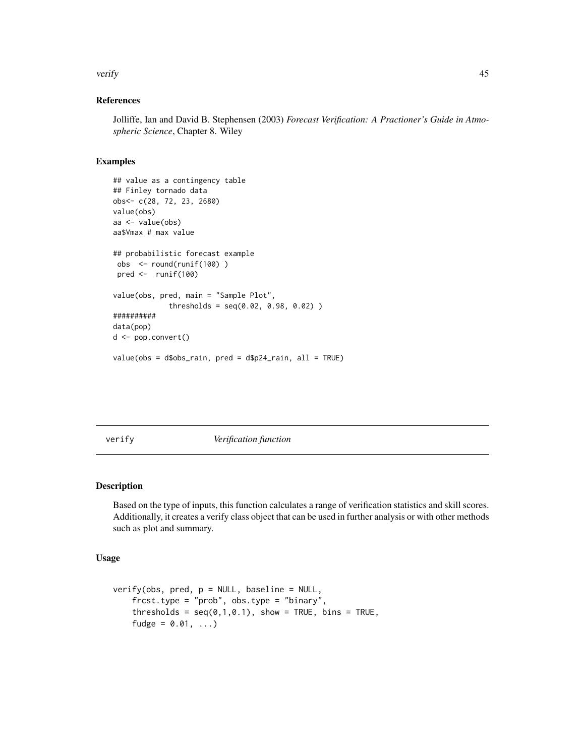#### <span id="page-44-0"></span>verify the contract of the contract of the contract of the contract of the contract of the contract of the contract of the contract of the contract of the contract of the contract of the contract of the contract of the con

## References

Jolliffe, Ian and David B. Stephensen (2003) *Forecast Verification: A Practioner's Guide in Atmospheric Science*, Chapter 8. Wiley

#### Examples

```
## value as a contingency table
## Finley tornado data
obs<- c(28, 72, 23, 2680)
value(obs)
aa <- value(obs)
aa$Vmax # max value
## probabilistic forecast example
obs <- round(runif(100) )
 pred <- runif(100)
value(obs, pred, main = "Sample Plot",
             thresholds = seq(0.02, 0.98, 0.02) )
##########
data(pop)
d <- pop.convert()
value(obs = d$obs_rain, pred = d$p24_rain, all = TRUE)
```
<span id="page-44-1"></span>verify *Verification function*

#### Description

Based on the type of inputs, this function calculates a range of verification statistics and skill scores. Additionally, it creates a verify class object that can be used in further analysis or with other methods such as plot and summary.

#### Usage

```
verify(obs, pred, p = NULL, baseline = NULL,frcst.type = "prob", obs.type = "binary",
   thresholds = seq(0,1,0.1), show = TRUE, bins = TRUE,
   fudge = 0.01, ...)
```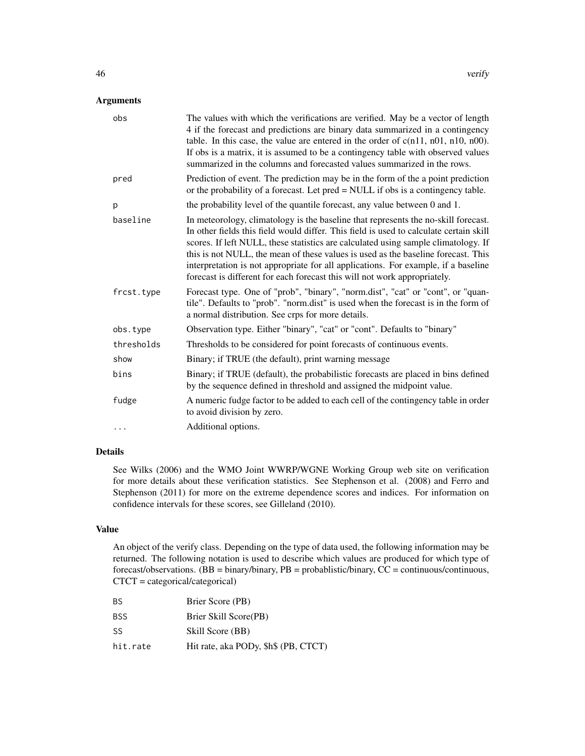## Arguments

| obs        | The values with which the verifications are verified. May be a vector of length<br>4 if the forecast and predictions are binary data summarized in a contingency<br>table. In this case, the value are entered in the order of $c(n11, n01, n10, n00)$ .<br>If obs is a matrix, it is assumed to be a contingency table with observed values<br>summarized in the columns and forecasted values summarized in the rows.                                                                                                    |
|------------|----------------------------------------------------------------------------------------------------------------------------------------------------------------------------------------------------------------------------------------------------------------------------------------------------------------------------------------------------------------------------------------------------------------------------------------------------------------------------------------------------------------------------|
| pred       | Prediction of event. The prediction may be in the form of the a point prediction<br>or the probability of a forecast. Let pred = NULL if obs is a contingency table.                                                                                                                                                                                                                                                                                                                                                       |
| p          | the probability level of the quantile forecast, any value between 0 and 1.                                                                                                                                                                                                                                                                                                                                                                                                                                                 |
| baseline   | In meteorology, climatology is the baseline that represents the no-skill forecast.<br>In other fields this field would differ. This field is used to calculate certain skill<br>scores. If left NULL, these statistics are calculated using sample climatology. If<br>this is not NULL, the mean of these values is used as the baseline forecast. This<br>interpretation is not appropriate for all applications. For example, if a baseline<br>forecast is different for each forecast this will not work appropriately. |
| frcst.type | Forecast type. One of "prob", "binary", "norm.dist", "cat" or "cont", or "quan-<br>tile". Defaults to "prob". "norm.dist" is used when the forecast is in the form of<br>a normal distribution. See crps for more details.                                                                                                                                                                                                                                                                                                 |
| obs.type   | Observation type. Either "binary", "cat" or "cont". Defaults to "binary"                                                                                                                                                                                                                                                                                                                                                                                                                                                   |
| thresholds | Thresholds to be considered for point forecasts of continuous events.                                                                                                                                                                                                                                                                                                                                                                                                                                                      |
| show       | Binary; if TRUE (the default), print warning message                                                                                                                                                                                                                                                                                                                                                                                                                                                                       |
| bins       | Binary; if TRUE (default), the probabilistic forecasts are placed in bins defined<br>by the sequence defined in threshold and assigned the midpoint value.                                                                                                                                                                                                                                                                                                                                                                 |
| fudge      | A numeric fudge factor to be added to each cell of the contingency table in order<br>to avoid division by zero.                                                                                                                                                                                                                                                                                                                                                                                                            |
| $\cdots$   | Additional options.                                                                                                                                                                                                                                                                                                                                                                                                                                                                                                        |

## Details

See Wilks (2006) and the WMO Joint WWRP/WGNE Working Group web site on verification for more details about these verification statistics. See Stephenson et al. (2008) and Ferro and Stephenson (2011) for more on the extreme dependence scores and indices. For information on confidence intervals for these scores, see Gilleland (2010).

#### Value

An object of the verify class. Depending on the type of data used, the following information may be returned. The following notation is used to describe which values are produced for which type of forecast/observations. (BB = binary/binary, PB = probablistic/binary, CC = continuous/continuous, CTCT = categorical/categorical)

| BS         | Brier Score (PB)                     |
|------------|--------------------------------------|
| <b>BSS</b> | Brier Skill Score(PB)                |
| <b>SS</b>  | Skill Score (BB)                     |
| hit.rate   | Hit rate, aka PODy, \$h\$ (PB, CTCT) |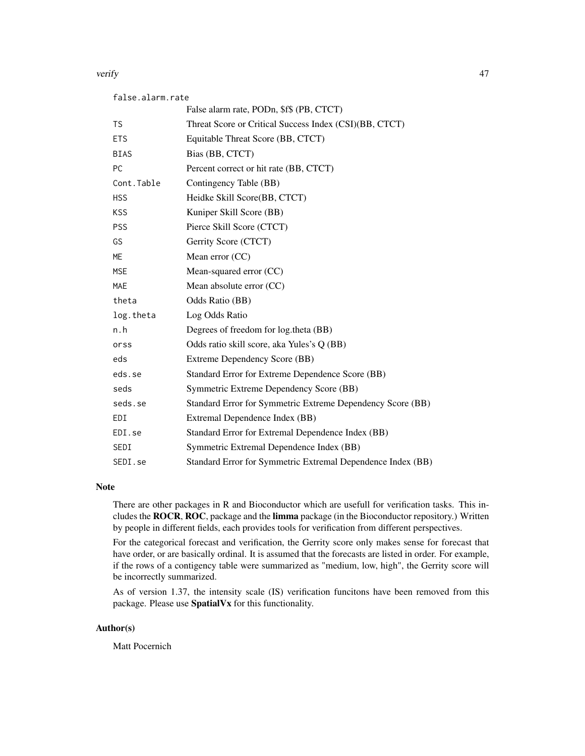#### verify the contract of the contract of the contract of the contract of the contract of the contract of the contract of the contract of the contract of the contract of the contract of the contract of the contract of the con

| false.alarm.rate |                                                             |
|------------------|-------------------------------------------------------------|
|                  | False alarm rate, PODn, \$f\$ (PB, CTCT)                    |
| <b>TS</b>        | Threat Score or Critical Success Index (CSI)(BB, CTCT)      |
| <b>ETS</b>       | Equitable Threat Score (BB, CTCT)                           |
| <b>BIAS</b>      | Bias (BB, CTCT)                                             |
| <b>PC</b>        | Percent correct or hit rate (BB, CTCT)                      |
| Cont.Table       | Contingency Table (BB)                                      |
| <b>HSS</b>       | Heidke Skill Score(BB, CTCT)                                |
| <b>KSS</b>       | Kuniper Skill Score (BB)                                    |
| <b>PSS</b>       | Pierce Skill Score (CTCT)                                   |
| GS               | Gerrity Score (CTCT)                                        |
| <b>ME</b>        | Mean error $(CC)$                                           |
| <b>MSE</b>       | Mean-squared error (CC)                                     |
| <b>MAE</b>       | Mean absolute error (CC)                                    |
| theta            | Odds Ratio (BB)                                             |
| log.theta        | Log Odds Ratio                                              |
| n.h              | Degrees of freedom for log.theta (BB)                       |
| orss             | Odds ratio skill score, aka Yules's Q (BB)                  |
| eds              | Extreme Dependency Score (BB)                               |
| eds.se           | Standard Error for Extreme Dependence Score (BB)            |
| seds             | Symmetric Extreme Dependency Score (BB)                     |
| seds.se          | Standard Error for Symmetric Extreme Dependency Score (BB)  |
| <b>EDI</b>       | Extremal Dependence Index (BB)                              |
| EDI.se           | Standard Error for Extremal Dependence Index (BB)           |
| SEDI             | Symmetric Extremal Dependence Index (BB)                    |
| SEDI.se          | Standard Error for Symmetric Extremal Dependence Index (BB) |

## Note

There are other packages in R and Bioconductor which are usefull for verification tasks. This includes the ROCR, ROC, package and the limma package (in the Bioconductor repository.) Written by people in different fields, each provides tools for verification from different perspectives.

For the categorical forecast and verification, the Gerrity score only makes sense for forecast that have order, or are basically ordinal. It is assumed that the forecasts are listed in order. For example, if the rows of a contigency table were summarized as "medium, low, high", the Gerrity score will be incorrectly summarized.

As of version 1.37, the intensity scale (IS) verification funcitons have been removed from this package. Please use SpatialVx for this functionality.

#### Author(s)

Matt Pocernich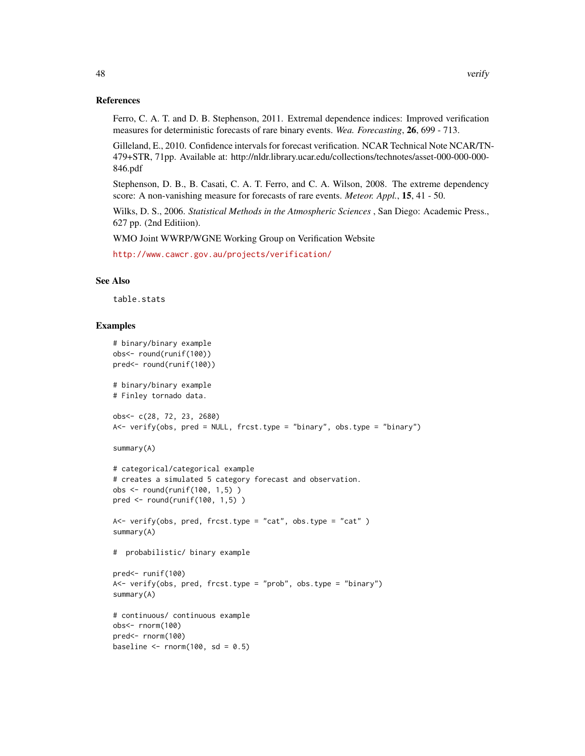#### References

Ferro, C. A. T. and D. B. Stephenson, 2011. Extremal dependence indices: Improved verification measures for deterministic forecasts of rare binary events. *Wea. Forecasting*, 26, 699 - 713.

Gilleland, E., 2010. Confidence intervals for forecast verification. NCAR Technical Note NCAR/TN-479+STR, 71pp. Available at: http://nldr.library.ucar.edu/collections/technotes/asset-000-000-000- 846.pdf

Stephenson, D. B., B. Casati, C. A. T. Ferro, and C. A. Wilson, 2008. The extreme dependency score: A non-vanishing measure for forecasts of rare events. *Meteor. Appl.*, 15, 41 - 50.

Wilks, D. S., 2006. *Statistical Methods in the Atmospheric Sciences* , San Diego: Academic Press., 627 pp. (2nd Editiion).

WMO Joint WWRP/WGNE Working Group on Verification Website

<http://www.cawcr.gov.au/projects/verification/>

#### See Also

table.stats

```
# binary/binary example
obs<- round(runif(100))
pred<- round(runif(100))
# binary/binary example
# Finley tornado data.
obs<- c(28, 72, 23, 2680)
A<- verify(obs, pred = NULL, frcst.type = "binary", obs.type = "binary")
summary(A)
# categorical/categorical example
# creates a simulated 5 category forecast and observation.
obs <- round(runif(100, 1,5) )
pred <- round(runif(100, 1,5) )
A \leftarrow \text{verify(obs, pred, frcst.type = "cat", obs.type = "cat" )}summary(A)
# probabilistic/ binary example
pred<- runif(100)
A \leftarrow \text{verify(obs, pred, frcst.type = "prob", obs.type = "binary")}summary(A)
# continuous/ continuous example
obs<- rnorm(100)
pred<- rnorm(100)
baseline \le rnorm(100, sd = 0.5)
```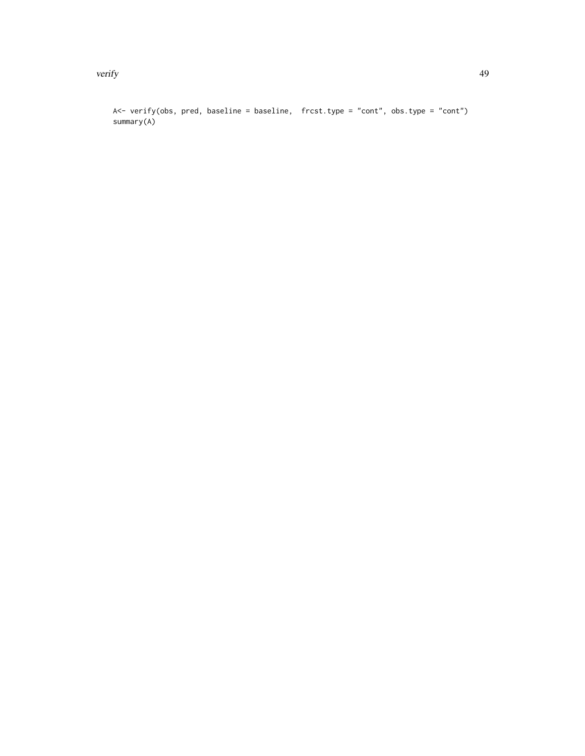verify the contract of the contract of the contract of the contract of the contract of the contract of the contract of the contract of the contract of the contract of the contract of the contract of the contract of the con

A<- verify(obs, pred, baseline = baseline, frcst.type = "cont", obs.type = "cont") summary(A)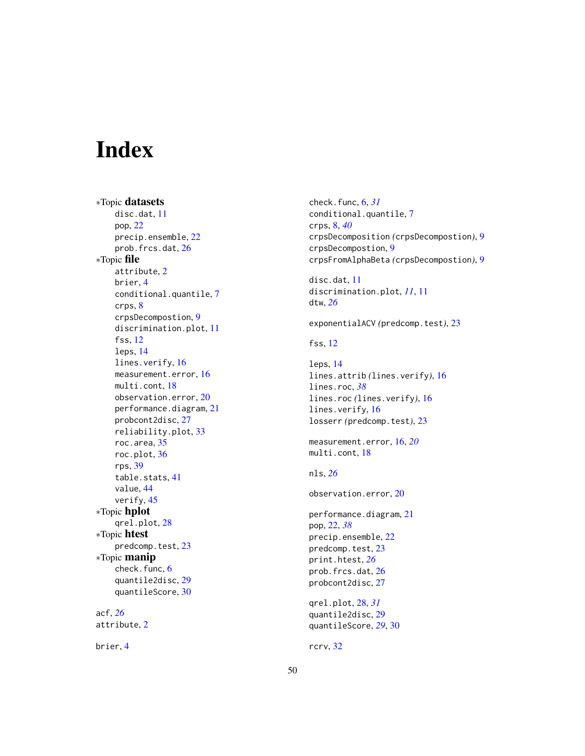# <span id="page-49-0"></span>Index

∗Topic datasets disc.dat, [11](#page-10-0) pop, [22](#page-21-0) precip.ensemble, [22](#page-21-0) prob.frcs.dat, [26](#page-25-0) ∗Topic file attribute, [2](#page-1-0) brier, [4](#page-3-0) conditional.quantile, [7](#page-6-0) crps, [8](#page-7-0) crpsDecompostion, [9](#page-8-0) discrimination.plot, [11](#page-10-0) fss, [12](#page-11-0) leps, [14](#page-13-0) lines.verify, [16](#page-15-0) measurement.error, [16](#page-15-0) multi.cont, [18](#page-17-0) observation.error, [20](#page-19-0) performance.diagram, [21](#page-20-0) probcont2disc, [27](#page-26-0) reliability.plot, [33](#page-32-0) roc.area, [35](#page-34-0) roc.plot, [36](#page-35-0) rps, [39](#page-38-0) table.stats, [41](#page-40-0) value, [44](#page-43-0) verify, [45](#page-44-0) ∗Topic hplot qrel.plot, [28](#page-27-0) ∗Topic htest predcomp.test, [23](#page-22-0) ∗Topic manip check.func, [6](#page-5-0) quantile2disc, [29](#page-28-0) quantileScore, [30](#page-29-0) acf, *[26](#page-25-0)* attribute, [2](#page-1-0)

brier, [4](#page-3-0)

check.func, [6,](#page-5-0) *[31](#page-30-0)* conditional.quantile, [7](#page-6-0) crps, [8,](#page-7-0) *[40](#page-39-0)* crpsDecomposition *(*crpsDecompostion*)*, [9](#page-8-0) crpsDecompostion, [9](#page-8-0) crpsFromAlphaBeta *(*crpsDecompostion*)*, [9](#page-8-0) disc.dat, [11](#page-10-0) discrimination.plot, *[11](#page-10-0)*, [11](#page-10-0) dtw, *[26](#page-25-0)* exponentialACV *(*predcomp.test*)*, [23](#page-22-0) fss, [12](#page-11-0) leps, [14](#page-13-0) lines.attrib *(*lines.verify*)*, [16](#page-15-0) lines.roc, *[38](#page-37-0)* lines.roc *(*lines.verify*)*, [16](#page-15-0) lines.verify, [16](#page-15-0) losserr *(*predcomp.test*)*, [23](#page-22-0) measurement.error, [16,](#page-15-0) *[20](#page-19-0)* multi.cont, [18](#page-17-0) nls, *[26](#page-25-0)* observation.error, [20](#page-19-0) performance.diagram, [21](#page-20-0) pop, [22,](#page-21-0) *[38](#page-37-0)* precip.ensemble, [22](#page-21-0) predcomp.test, [23](#page-22-0) print.htest, *[26](#page-25-0)* prob.frcs.dat, [26](#page-25-0) probcont2disc, [27](#page-26-0) qrel.plot, [28,](#page-27-0) *[31](#page-30-0)* quantile2disc, [29](#page-28-0) quantileScore, *[29](#page-28-0)*, [30](#page-29-0) rcrv, [32](#page-31-0)